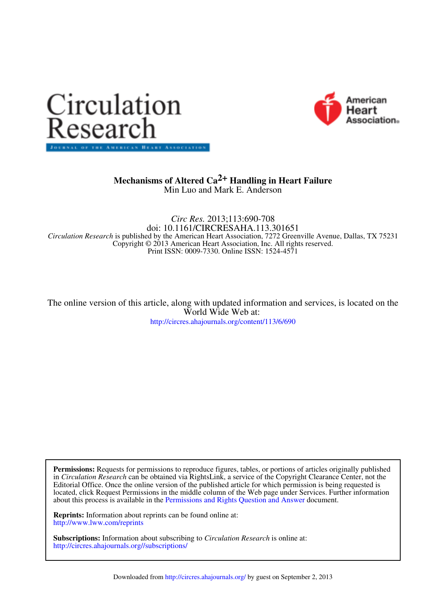



# Min Luo and Mark E. Anderson  **Mechanisms of Altered Ca<sup>2+</sup> Handling in Heart Failure**

Print ISSN: 0009-7330. Online ISSN: 1524-4571 Copyright © 2013 American Heart Association, Inc. All rights reserved. *Circulation Research* is published by the American Heart Association, 7272 Greenville Avenue, Dallas, TX 75231 doi: 10.1161/CIRCRESAHA.113.301651 *Circ Res.* 2013;113:690-708

http://circres.ahajournals.org/content/113/6/690 World Wide Web at: The online version of this article, along with updated information and services, is located on the

about this process is available in the Permissions and Rights Question and Answer document. located, click Request Permissions in the middle column of the Web page under Services. Further information Editorial Office. Once the online version of the published article for which permission is being requested is in *Circulation Research* can be obtained via RightsLink, a service of the Copyright Clearance Center, not the **Permissions:** Requests for permissions to reproduce figures, tables, or portions of articles originally published

http://www.lww.com/reprints **Reprints:** Information about reprints can be found online at:

http://circres.ahajournals.org//subscriptions/ **Subscriptions:** Information about subscribing to *Circulation Research* is online at: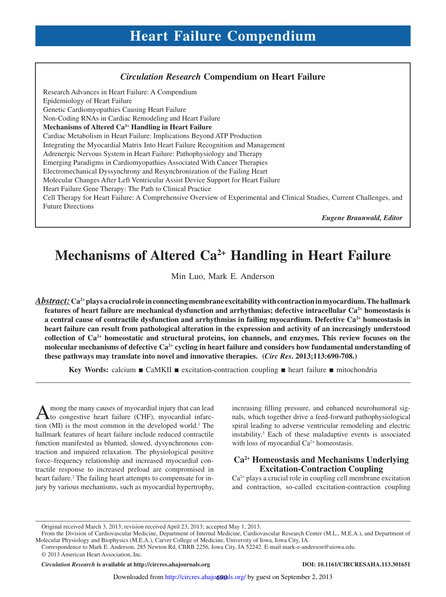#### *Circulation Research* **Compendium on Heart Failure**

Research Advances in Heart Failure: A Compendium Epidemiology of Heart Failure Genetic Cardiomyopathies Causing Heart Failure Non-Coding RNAs in Cardiac Remodeling and Heart Failure **Mechanisms of Altered Ca2+ Handling in Heart Failure** Cardiac Metabolism in Heart Failure: Implications Beyond ATP Production Integrating the Myocardial Matrix Into Heart Failure Recognition and Management Adrenergic Nervous System in Heart Failure: Pathophysiology and Therapy Emerging Paradigms in Cardiomyopathies Associated With Cancer Therapies Electromechanical Dyssynchrony and Resynchronization of the Failing Heart Molecular Changes After Left Ventricular Assist Device Support for Heart Failure Heart Failure Gene Therapy: The Path to Clinical Practice Cell Therapy for Heart Failure: A Comprehensive Overview of Experimental and Clinical Studies, Current Challenges, and Future Directions

*Eugene Braunwald, Editor*

# **Mechanisms of Altered Ca2+ Handling in Heart Failure**

Min Luo, Mark E. Anderson

*Abstract:* **Ca2+ plays a crucial role in connecting membrane excitability with contraction in myocardium. The hallmark features of heart failure are mechanical dysfunction and arrhythmias; defective intracellular Ca2+ homeostasis is a central cause of contractile dysfunction and arrhythmias in failing myocardium. Defective Ca2+ homeostasis in heart failure can result from pathological alteration in the expression and activity of an increasingly understood collection of Ca2+ homeostatic and structural proteins, ion channels, and enzymes. This review focuses on the molecular mechanisms of defective Ca2+ cycling in heart failure and considers how fundamental understanding of these pathways may translate into novel and innovative therapies. (***Circ Res***. 2013;113:690-708.)**

**Key Words:** calcium ■ CaMKII ■ excitation-contraction coupling ■ heart failure ■ mitochondria

A mong the many causes of myocardial injury that can lead<br>to congestive heart failure (CHF), myocardial infarcmong the many causes of myocardial injury that can lead tion  $(MI)$  is the most common in the developed world.<sup>1</sup> The hallmark features of heart failure include reduced contractile function manifested as blunted, slowed, dysynchronous contraction and impaired relaxation. The physiological positive force–frequency relationship and increased myocardial contractile response to increased preload are compromised in heart failure.<sup>2</sup> The failing heart attempts to compensate for injury by various mechanisms, such as myocardial hypertrophy,

increasing filling pressure, and enhanced neurohumoral signals, which together drive a feed-forward pathophysiological spiral leading to adverse ventricular remodeling and electric instability.<sup>3</sup> Each of these maladaptive events is associated with loss of myocardial Ca<sup>2+</sup> homeostasis.

## **Ca2+ Homeostasis and Mechanisms Underlying Excitation-Contraction Coupling**

Ca2+ plays a crucial role in coupling cell membrane excitation and contraction, so-called excitation-contraction coupling

*Circulation Research* **is available at http://circres.ahajournals.org DOI: 10.1161/CIRCRESAHA.113.301651**

Original received March 3, 2013; revision received April 23, 2013; accepted May 1, 2013.

From the Division of Cardiovascular Medicine, Department of Internal Medicine, Cardiovascular Research Center (M.L., M.E.A.), and Department of Molecular Physiology and Biophysics (M.E.A.), Carver College of Medicine, University of Iowa, Iowa City, IA.

<sup>© 2013</sup> American Heart Association, Inc. Correspondence to Mark E. Anderson, 285 Newton Rd, CBRB 2256, Iowa City, IA 52242. E-mail mark-e-anderson@uiowa.edu.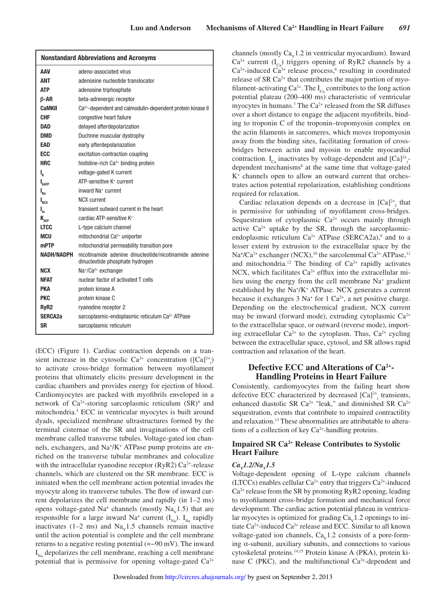| <b>Nonstandard Abbreviations and Acronyms</b> |                                                                                           |
|-----------------------------------------------|-------------------------------------------------------------------------------------------|
| AAV                                           | adeno-associated virus                                                                    |
| <b>ANT</b>                                    | adenosine nucleotide translocator                                                         |
| <b>ATP</b>                                    | adenosine triphosphate                                                                    |
| $\beta$ -AR                                   | beta-adrenergic receptor                                                                  |
| CaMKII                                        | Ca <sup>2+</sup> -dependent and calmodulin-dependent protein kinase II                    |
| CHF                                           | congestive heart failure                                                                  |
| <b>DAD</b>                                    | delayed afterdepolarization                                                               |
| DMD                                           | Duchnne muscular dystrophy                                                                |
| EAD                                           | early afterdepolariazation                                                                |
| <b>ECC</b>                                    | excitation-contraction coupling                                                           |
| <b>HRC</b>                                    | histidine-rich Ca <sup>2+</sup> binding protein                                           |
| ı,                                            | voltage-gated K current                                                                   |
| $I_{KATP}$                                    | ATP-sensitive K <sup>+</sup> current                                                      |
| $\boldsymbol{\mathsf{I}}_{\mathsf{Na}}$       | inward Na <sup>+</sup> current                                                            |
| $I_{NCX}$                                     | <b>NCX</b> current                                                                        |
| $\mathsf{I}_{\mathsf{to}}$                    | transient outward current in the heart                                                    |
| $\mathbf{K}_{\texttt{ATP}}$                   | cardiac ATP-sensitive K <sup>+</sup>                                                      |
| <b>LTCC</b>                                   | L-type calcium channel                                                                    |
| MCU                                           | mitochondrial Ca <sup>2+</sup> uniporter                                                  |
| <b>mPTP</b>                                   | mitochondrial permeability transition pore                                                |
| <b>NADH/NADPH</b>                             | nicotinamide adenine dinucleotide/nicotinamide adenine<br>dinucleotide phosphate hydrogen |
| <b>NCX</b>                                    | Na+/Ca <sup>2+</sup> exchanger                                                            |
| NFAT                                          | nuclear factor of activated T cells                                                       |
| PKA                                           | protein kinase A                                                                          |
| <b>PKC</b>                                    | protein kinase C                                                                          |
| RyR <sub>2</sub>                              | ryanodine receptor 2                                                                      |
| SERCA <sub>2a</sub>                           | sarcoplasmic-endoplasmic reticulum Ca <sup>2+</sup> ATPase                                |
| <b>SR</b>                                     | sarcoplasmic reticulum                                                                    |

(ECC) (Figure 1). Cardiac contraction depends on a transient increase in the cytosolic  $Ca^{2+}$  concentration ([Ca]<sup>2+</sup><sub>i</sub>) to activate cross-bridge formation between myofilament proteins that ultimately elicits pressure development in the cardiac chambers and provides energy for ejection of blood. Cardiomyocytes are packed with myofibrils enveloped in a network of  $Ca^{2+}$ -storing sarcoplasmic reticulum  $(SR)^4$  and mitochondria.<sup>5</sup> ECC in ventricular myocytes is built around dyads, specialized membrane ultrastructures formed by the terminal cisternae of the SR and invaginations of the cell membrane called transverse tubules. Voltage-gated ion channels, exchangers, and Na<sup>+</sup> /K<sup>+</sup> ATPase pump proteins are enriched on the transverse tubular membranes and colocalize with the intracellular ryanodine receptor  $(RyR2) Ca<sup>2+</sup>$ -release channels, which are clustered on the SR membrane. ECC is initiated when the cell membrane action potential invades the myocyte along its transverse tubules. The flow of inward current depolarizes the cell membrane and rapidly (in 1–2 ms) opens voltage-gated  $Na^+$  channels (mostly  $Na<sub>v</sub>1.5$ ) that are responsible for a large inward Na<sup>+</sup> current  $(I_{Na})$ . I<sub>Na</sub> rapidly inactivates  $(1-2 \text{ ms})$  and  $\text{Na}_{\text{v}}1.5$  channels remain inactive until the action potential is complete and the cell membrane returns to a negative resting potential (≈−90 mV). The inward I Na depolarizes the cell membrane, reaching a cell membrane potential that is permissive for opening voltage-gated  $Ca^{2+}$ 

channels (mostly  $Ca<sub>v</sub>1.2$  in ventricular myocardium). Inward  $Ca^{2+}$  current  $(I_{C_2})$  triggers opening of RyR2 channels by a  $Ca<sup>2+</sup>$ -induced  $Ca<sup>2+</sup>$  release process,<sup>6</sup> resulting in coordinated release of SR  $Ca<sup>2+</sup>$  that contributes the major portion of myofilament-activating Ca<sup>2+</sup>. The  $I_{C_2}$  contributes to the long action potential plateau (200–400 ms) characteristic of ventricular myocytes in humans.<sup>7</sup> The Ca<sup>2+</sup> released from the SR diffuses over a short distance to engage the adjacent myofibrils, binding to troponin C of the troponin–tropomyosin complex on the actin filaments in sarcomeres, which moves tropomyosin away from the binding sites, facilitating formation of crossbridges between actin and myosin to enable myocardial contraction.  $I_{C_a}$  inactivates by voltage-dependent and  $[Ca]^{2+}$ <sub>i</sub>dependent mechanisms<sup>8</sup> at the same time that voltage-gated K<sup>+</sup> channels open to allow an outward current that orchestrates action potential repolarization, establishing conditions required for relaxation.

Cardiac relaxation depends on a decrease in  $[Ca]^{2+}$ <sub>I</sub> that is permissive for unbinding of myofilament cross-bridges. Sequestration of cytoplasmic Ca<sup>2+</sup> occurs mainly through active  $Ca^{2+}$  uptake by the SR, through the sarcoplasmicendoplasmic reticulum  $Ca^{2+}$  ATPase (SERCA2a),<sup>9</sup> and to a lesser extent by extrusion to the extracellular space by the Na<sup>+</sup>/Ca<sup>2+</sup> exchanger (NCX),<sup>10</sup> the sarcolemmal Ca<sup>2+</sup> ATPase,<sup>11</sup> and mitochondria.<sup>12</sup> The binding of  $Ca^{2+}$  rapidly activates NCX, which facilitates  $Ca^{2+}$  efflux into the extracellular milieu using the energy from the cell membrane Na<sup>+</sup> gradient established by the Na<sup>+</sup>/K<sup>+</sup> ATPase. NCX generates a current because it exchanges  $3 \text{ Na}^+$  for  $1 \text{ Ca}^{2+}$ , a net positive charge. Depending on the electrochemical gradient, NCX current may be inward (forward mode), extruding cytoplasmic  $Ca^{2+}$ to the extracellular space, or outward (reverse mode), importing extracellular  $Ca^{2+}$  to the cytoplasm. Thus,  $Ca^{2+}$  cycling between the extracellular space, cytosol, and SR allows rapid contraction and relaxation of the heart.

## **Defective ECC and Alterations of Ca2+ - Handling Proteins in Heart Failure**

Consistently, cardiomyocytes from the failing heart show defective ECC characterized by decreased  $[Ca]^{2+}$ <sub>i</sub> transients, enhanced diastolic SR Ca<sup>2+</sup> "leak," and diminished SR Ca<sup>2+</sup> sequestration, events that contribute to impaired contractility and relaxation.13 These abnormalities are attributable to alterations of a collection of key Ca2+-handling proteins.

## **Impaired SR Ca2+ Release Contributes to Systolic Heart Failure**

## *Ca<sup>V</sup> 1.2/Na<sup>V</sup> 1.5*

Voltage-dependent opening of L-type calcium channels (LTCCs) enables cellular  $Ca^{2+}$  entry that triggers  $Ca^{2+}$ -induced  $Ca<sup>2+</sup>$  release from the SR by promoting RyR2 opening, leading to myofilament cross-bridge formation and mechanical force development. The cardiac action potential plateau in ventricular myocytes is optimized for grading  $Ca<sub>v</sub>1.2$  openings to initiate Ca2+-induced Ca2+ release and ECC. Similar to all known voltage-gated ion channels,  $Ca<sub>v</sub>1.2$  consists of a pore-forming  $\alpha$ -subunit, auxiliary subunits, and connections to various cytoskeletal proteins.14,15 Protein kinase A (PKA), protein kinase C (PKC), and the multifunctional  $Ca<sup>2+</sup>$ -dependent and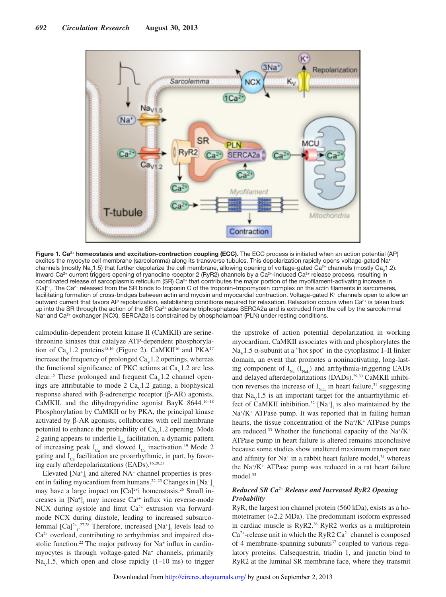

Figure 1. Ca<sup>2+</sup> homeostasis and excitation-contraction coupling (ECC). The ECC process is initiated when an action potential (AP) excites the myocyte cell membrane (sarcolemma) along its transverse tubules. This depolarization rapidly opens voltage-gated Na+ channels (mostly Na<sub>v</sub>1.5) that further depolarize the cell membrane, allowing opening of voltage-gated Ca<sup>2+</sup> channels (mostly Ca<sub>v</sub>1.2). Inward Ca<sup>2+</sup> current triggers opening of ryanodine receptor 2 (RyR2) channels by a Ca<sup>2+</sup>-induced Ca<sup>2+</sup> release process, resulting in coordinated release of sarcoplasmic reticulum (SR) Ca<sup>2+</sup> that contributes the major portion of the myofilament-activating increase in [Ca] $^{2+}$ . The Ca $^{2+}$  released from the SR binds to troponin C of the troponin–tropomyosin complex on the actin filaments in sarcomeres, facilitating formation of cross-bridges between actin and myosin and myocardial contraction. Voltage-gated K<sup>+</sup> channels open to allow an outward current that favors AP repolarization, establishing conditions required for relaxation. Relaxation occurs when Ca<sup>2+</sup> is taken back up into the SR through the action of the SR Ca<sup>2+</sup> adenosine triphosphatase SERCA2a and is extruded from the cell by the sarcolemmal Na<sup>+</sup> and Ca<sup>2+</sup> exchanger (NCX). SERCA2a is constrained by phospholamban (PLN) under resting conditions.

calmodulin-dependent protein kinase II (CaMKII) are serinethreonine kinases that catalyze ATP-dependent phosphorylation of  $Ca<sub>v</sub>1.2$  proteins<sup>15,16</sup> (Figure 2). CaMKII<sup>16</sup> and PKA<sup>17</sup> increase the frequency of prolonged  $\text{Ca}_{\text{v}}1.2$  openings, whereas the functional significance of PKC actions at  $Ca<sub>v</sub>1.2$  are less clear.<sup>15</sup> These prolonged and frequent  $Ca<sub>v</sub>1.2$  channel openings are attributable to mode 2  $Ca<sub>v</sub>1.2$  gating, a biophysical response shared with β-adrenergic receptor (β-AR) agonists, CaMKII, and the dihydropyridine agonist BayK 8644.16–18 Phosphorylation by CaMKII or by PKA, the principal kinase activated by β-AR agonists, collaborates with cell membrane potential to enhance the probability of  $Ca<sub>v</sub>1.2$  opening. Mode 2 gating appears to underlie  $I_{C<sub>a</sub>}$  facilitation, a dynamic pattern of increasing peak  $I_{C_3}$  and slowed  $I_{C_3}$  inactivation.<sup>19</sup> Mode 2 gating and  $I_{C_2}$  facilitation are proarrhythmic, in part, by favoring early afterdepolariazations (EADs).<sup>16,20,21</sup>

Elevated [Na<sup>+</sup>]<sub>i</sub> and altered NA<sup>+</sup> channel properties is present in failing myocardium from humans.<sup>22–25</sup> Changes in [Na<sup>+</sup>]<sub>i</sub> may have a large impact on  $[Ca]^{2+}$ i homeostasis.<sup>26</sup> Small increases in  $[Na^+]$ <sub>i</sub> may increase  $Ca^{2+}$  influx via reverse-mode NCX during systole and limit Ca<sup>2+</sup> extrusion via forwardmode NCX during diastole, leading to increased subsarcolemmal  $[Ca]^{2+}$ <sup>27,28</sup> Therefore, increased  $[Na^{+}]$ <sub>I</sub> levels lead to Ca2+ overload, contributing to arrhythmias and impaired diastolic function.<sup>22</sup> The major pathway for Na<sup>+</sup> influx in cardiomyocytes is through voltage-gated Na<sup>+</sup> channels, primarily  $Na<sub>v</sub>1.5$ , which open and close rapidly (1–10 ms) to trigger the upstroke of action potential depolarization in working myocardium. CaMKII associates with and phosphorylates the Na<sub>v</sub>1.5  $\alpha$ -subunit at a "hot spot" in the cytoplasmic I–II linker domain, an event that promotes a noninactivating, long-lasting component of  $I_{N_a}$  ( $I_{N_a}$ ) and arrhythmia-triggering EADs and delayed afterdepolarizations (DADs).29,30 CaMKII inhibition reverses the increase of  $I_{\text{NaL}}$  in heart failure,<sup>31</sup> suggesting that  $Na<sub>v</sub>1.5$  is an important target for the antiarrhythmic effect of CaMKII inhibition.<sup>32</sup>  $[Na^+]$ <sub>i</sub> is also maintained by the Na<sup>+</sup>/K<sup>+</sup> ATPase pump. It was reported that in failing human hearts, the tissue concentration of the Na<sup>+</sup>/K<sup>+</sup> ATPase pumps are reduced.<sup>33</sup> Whether the functional capacity of the Na<sup>+</sup>/K<sup>+</sup> ATPase pump in heart failure is altered remains inconclusive because some studies show unaltered maximum transport rate and affinity for  $Na^+$  in a rabbit heart failure model,<sup>34</sup> whereas the Na<sup>+</sup> /K<sup>+</sup> ATPase pump was reduced in a rat heart failure model.<sup>35</sup>

## *Reduced SR Ca2+ Release and Increased RyR2 Opening Probability*

RyR, the largest ion channel protein (560 kDa), exists as a homotetramer ( $\approx$ 2.2 MDa). The predominant isoform expressed in cardiac muscle is RyR2.<sup>36</sup> RyR2 works as a multiprotein  $Ca<sup>2+</sup>$ -release unit in which the RyR2  $Ca<sup>2+</sup>$  channel is composed of 4 membrane-spanning subunits $37$  coupled to various regulatory proteins. Calsequestrin, triadin 1, and junctin bind to RyR2 at the luminal SR membrane face, where they transmit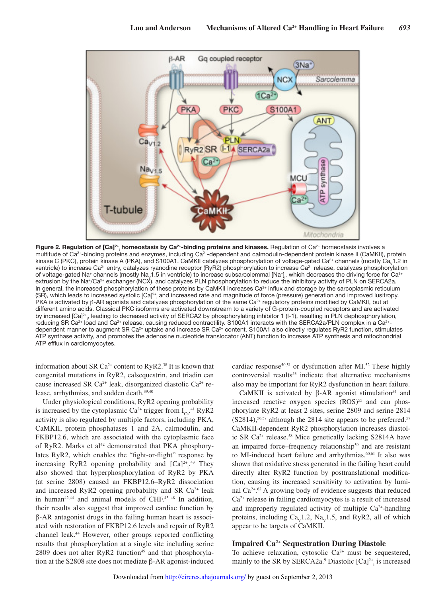

**Figure 2. Regulation of [Ca]<sup>2+</sup>, homeostasis by Ca<sup>2+</sup>-binding proteins and kinases. Regulation of Ca<sup>2+</sup> homeostasis involves a** multitude of Ca<sup>2+</sup>-binding proteins and enzymes, including Ca<sup>2+</sup>-dependent and calmodulin-dependent protein kinase II (CaMKII), protein kinase C (PKC), protein kinase A (PKA), and S100A1. CaMKII catalyzes phosphorylation of voltage-gated Ca<sup>2+</sup> channels (mostly Ca<sub>v</sub>1.2 in ventricle) to increase Ca<sup>2+</sup> entry, catalyzes ryanodine receptor (RyR2) phosphorylation to increase Ca<sup>2+</sup> release, catalyzes phosphorylation of voltage-gated Na+ channels (mostly Na<sub>V</sub>1.5 in ventricle) to increase subsarcolemmal [Na+]<sub>1</sub>, which decreases the driving force for Ca<sup>2+</sup> i extrusion by the Na<sup>+</sup> /Ca2+ exchanger (NCX), and catalyzes PLN phosphorylation to reduce the inhibitory activity of PLN on SERCA2a. In general, the increased phosphorylation of these proteins by CaMKII increases  $Ca<sup>2+</sup>$  influx and storage by the sarcoplasmic reticulum (SR), which leads to increased systolic [Ca]<sup>2+</sup>, and increased rate and magnitude of force (pressure) generation and improved lusitropy. i PKA is activated by β-AR agonists and catalyzes phosphorylation of the same Ca2+ regulatory proteins modified by CaMKII, but at different amino acids. Classical PKC isoforms are activated downstream to a variety of G-protein-coupled receptors and are activated by increased [Ca]<sup>2+</sup>, leading to decreased activity of SERCA2 by phosphorylating inhibitor 1 (I-1), resulting in PLN dephosphorylation, reducing SR Ca<sup>2+</sup> load and Ca<sup>2+</sup> release, causing reduced contractility. S100A1 interacts with the SERCA2a/PLN complex in a Ca<sup>2+</sup>dependent manner to augment SR Ca<sup>2+</sup> uptake and increase SR Ca<sup>2+</sup> content. S100A1 also directly regulates RyR2 function, stimulates ATP synthase activity, and promotes the adenosine nucleotide translocator (ANT) function to increase ATP synthesis and mitochondrial ATP efflux in cardiomyocytes.

information about SR Ca<sup>2+</sup> content to RyR2.<sup>38</sup> It is known that congenital mutations in RyR2, calsequestrin, and triadin can cause increased SR Ca<sup>2+</sup> leak, disorganized diastolic Ca<sup>2+</sup> release, arrhythmias, and sudden death.<sup>39,40</sup>

Under physiological conditions, RyR2 opening probability is increased by the cytoplasmic  $Ca^{2+}$  trigger from  $I_{Ca}^{41}$  RyR2 activity is also regulated by multiple factors, including PKA, CaMKII, protein phosphatases 1 and 2A, calmodulin, and FKBP12.6, which are associated with the cytoplasmic face of RyR2. Marks et al<sup>42</sup> demonstrated that PKA phosphorylates RyR2, which enables the "fight-or-flight" response by increasing RyR2 opening probability and  $[Ca]^{2+}$ <sup>43</sup> They also showed that hyperphosphorylation of RyR2 by PKA (at serine 2808) caused an FKBP12.6–RyR2 dissociation and increased RyR2 opening probability and SR  $Ca<sup>2+</sup>$  leak in human<sup>42,44</sup> and animal models of CHF. $45-48$  In addition, their results also suggest that improved cardiac function by β-AR antagonist drugs in the failing human heart is associated with restoration of FKBP12.6 levels and repair of RyR2 channel leak.<sup>44</sup> However, other groups reported conflicting results that phosphorylation at a single site including serine  $2809$  does not alter RyR2 function<sup>49</sup> and that phosphorylation at the S2808 site does not mediate β-AR agonist-induced

cardiac response<sup>50,51</sup> or dysfunction after MI.<sup>52</sup> These highly controversial results<sup>53</sup> indicate that alternative mechanisms also may be important for RyR2 dysfunction in heart failure.

CaMKII is activated by β-AR agonist stimulation<sup>54</sup> and increased reactive oxygen species  $(ROS)$ <sup>55</sup> and can phosphorylate RyR2 at least 2 sites, serine 2809 and serine 2814  $(S2814)$ ,<sup>56,57</sup> although the 2814 site appears to be preferred.<sup>57</sup> CaMKII-dependent RyR2 phosphorylation increases diastolic SR Ca2+ release.<sup>58</sup> Mice genetically lacking S2814A have an impaired force–frequency relationship<sup>59</sup> and are resistant to MI-induced heart failure and arrhythmias.<sup>60,61</sup> It also was shown that oxidative stress generated in the failing heart could directly alter RyR2 function by posttranslational modification, causing its increased sensitivity to activation by luminal Ca2+ . <sup>62</sup> A growing body of evidence suggests that reduced  $Ca<sup>2+</sup>$  release in failing cardiomyocytes is a result of increased and improperly regulated activity of multiple  $Ca^{2+}$ -handling proteins, including  $Ca<sub>v</sub>1.2$ ,  $Na<sub>v</sub>1.5$ , and RyR2, all of which appear to be targets of CaMKII.

## **Impaired Ca2+ Sequestration During Diastole**

To achieve relaxation, cytosolic  $Ca^{2+}$  must be sequestered, mainly to the SR by SERCA2a.<sup>9</sup> Diastolic  $[Ca]^{2+}$ <sub>i</sub> is increased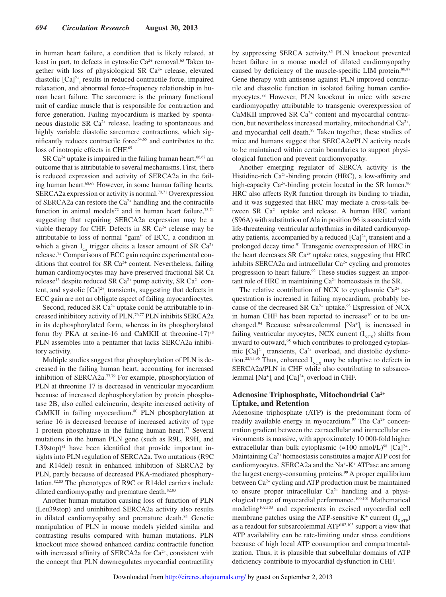in human heart failure, a condition that is likely related, at least in part, to defects in cytosolic  $Ca^{2+}$  removal.<sup>63</sup> Taken together with loss of physiological SR Ca<sup>2+</sup> release, elevated diastolic  $[Ca]^{2+}$ <sub>i</sub> results in reduced contractile force, impaired relaxation, and abnormal force–frequency relationship in human heart failure. The sarcomere is the primary functional unit of cardiac muscle that is responsible for contraction and force generation. Failing myocardium is marked by spontaneous diastolic SR  $Ca^{2+}$  release, leading to spontaneous and highly variable diastolic sarcomere contractions, which significantly reduces contractile force<sup>64,65</sup> and contributes to the loss of inotropic effects in CHF.<sup>65</sup>

SR Ca<sup>2+</sup> uptake is impaired in the failing human heart,  $66,67$  an outcome that is attributable to several mechanisms. First, there is reduced expression and activity of SERCA2a in the failing human heart.68,69 However, in some human failing hearts, SERCA2a expression or activity is normal.<sup>70,71</sup> Overexpression of SERCA2a can restore the  $Ca^{2+}$  handling and the contractile function in animal models<sup>72</sup> and in human heart failure,<sup>73,74</sup> suggesting that repairing SERCA2a expression may be a viable therapy for CHF. Defects in SR  $Ca<sup>2+</sup>$  release may be attributable to loss of normal "gain" of ECC, a condition in which a given  $I_{C_2}$  trigger elicits a lesser amount of SR Ca<sup>2+</sup> release.75 Comparisons of ECC gain require experimental conditions that control for SR Ca<sup>2+</sup> content. Nevertheless, failing human cardiomyocytes may have preserved fractional SR Ca release<sup>13</sup> despite reduced SR Ca<sup>2+</sup> pump activity, SR Ca<sup>2+</sup> content, and systolic  $[Ca]^{2+}$  transients, suggesting that defects in ECC gain are not an obligate aspect of failing myocardiocytes.

Second, reduced SR  $Ca^{2+}$  uptake could be attributable to increased inhibitory activity of PLN.76,77 PLN inhibits SERCA2a in its dephosphorylated form, whereas in its phosphorylated form (by PKA at serine-16 and CaMKII at threonine-17)<sup>78</sup> PLN assembles into a pentamer that lacks SERCA2a inhibitory activity.

Multiple studies suggest that phosphorylation of PLN is decreased in the failing human heart, accounting for increased inhibition of SERCA2a.77,79 For example, phosphorylation of PLN at threonine 17 is decreased in ventricular myocardium because of increased dephosphorylation by protein phosphatase 2B, also called calcineurin, despite increased activity of CaMKII in failing myocardium.<sup>80</sup> PLN phosphorylation at serine 16 is decreased because of increased activity of type 1 protein phosphatase in the failing human heart.<sup>77</sup> Several mutations in the human PLN gene (such as R9L, R9H, and  $L39$ stop)<sup>81</sup> have been identified that provide important insights into PLN regulation of SERCA2a. Two mutations (R9C and R14del) result in enhanced inhibition of SERCA2 by PLN, partly because of decreased PKA-mediated phosphorylation.82,83 The phenotypes of R9C or R14del carriers include dilated cardiomyopathy and premature death.<sup>82,83</sup>

Another human mutation causing loss of function of PLN (Leu39stop) and uninhibited SERCA2a activity also results in dilated cardiomyopathy and premature death.<sup>84</sup> Genetic manipulation of PLN in mouse models yielded similar and contrasting results compared with human mutations. PLN knockout mice showed enhanced cardiac contractile function with increased affinity of SERCA2a for  $Ca<sup>2+</sup>$ , consistent with the concept that PLN downregulates myocardial contractility by suppressing SERCA activity.<sup>85</sup> PLN knockout prevented heart failure in a mouse model of dilated cardiomyopathy caused by deficiency of the muscle-specific LIM protein.<sup>86,87</sup> Gene therapy with antisense against PLN improved contractile and diastolic function in isolated failing human cardiomyocytes.<sup>88</sup> However, PLN knockout in mice with severe cardiomyopathy attributable to transgenic overexpression of CaMKII improved SR Ca<sup>2+</sup> content and myocardial contraction, but nevertheless increased mortality, mitochondrial  $Ca<sup>2+</sup>$ , and myocardial cell death.<sup>89</sup> Taken together, these studies of mice and humans suggest that SERCA2a/PLN activity needs to be maintained within certain boundaries to support physiological function and prevent cardiomyopathy.

Another emerging regulator of SERCA activity is the Histidine-rich Ca<sup>2+</sup>-binding protein (HRC), a low-affinity and high-capacity  $Ca^{2+}$ -binding protein located in the SR lumen.<sup>90</sup> HRC also affects RyR function through its binding to triadin, and it was suggested that HRC may mediate a cross-talk between SR  $Ca<sup>2+</sup>$  uptake and release. A human HRC variant (S96A) with substitution of Ala in position 96 is associated with life-threatening ventricular arrhythmias in dilated cardiomyopathy patients, accompanied by a reduced  $[Ca]^{2+}$ <sub>i</sub> transient and a prolonged decay time.<sup>91</sup> Transgenic overexpression of HRC in the heart decreases SR  $Ca<sup>2+</sup>$  uptake rates, suggesting that HRC inhibits SERCA2a and intracellular  $Ca<sup>2+</sup>$  cycling and promotes progression to heart failure.92 These studies suggest an important role of HRC in maintaining  $Ca^{2+}$  homeostasis in the SR.

The relative contribution of NCX to cytoplasmic  $Ca^{2+}$  sequestration is increased in failing myocardium, probably because of the decreased SR  $Ca^{2+}$  uptake.<sup>93</sup> Expression of NCX in human CHF has been reported to increase<sup>10</sup> or to be unchanged.<sup>94</sup> Because subsarcolemmal  $[Na^+]$  is increased in failing ventricular myocytes, NCX current  $(I<sub>NCX</sub>)$  shifts from inward to outward,<sup>95</sup> which contributes to prolonged cytoplasmic  $[Ca]^{2+}$ <sub>i</sub> transients,  $Ca^{2+}$  overload, and diastolic dysfunction.<sup>22,95,96</sup> Thus, enhanced  $I_{NCX}$  may be adaptive to defects in SERCA2a/PLN in CHF while also contributing to subsarcolemmal  $[Na^+]$ <sub>i</sub> and  $[Ca]^{2+}$ <sub>i</sub> overload in CHF.

## **Adenosine Triphosphate, Mitochondrial Ca2+ Uptake, and Retention**

Adenosine triphosphate (ATP) is the predominant form of readily available energy in myocardium.<sup>97</sup> The  $Ca^{2+}$  concentration gradient between the extracellular and intracellular environments is massive, with approximately 10 000-fold higher extracellular than bulk cytoplasmic  $(\approx 100 \text{ nmol/L})^{\text{98}}$  [Ca]<sup>2+</sup><sub>i</sub>. Maintaining Ca<sup>2+</sup> homeostasis constitutes a major ATP cost for cardiomyocytes. SERCA2a and the Na<sup>+</sup>-K<sup>+</sup> ATPase are among the largest energy-consuming proteins.<sup>99</sup> A proper equilibrium between Ca<sup>2+</sup> cycling and ATP production must be maintained to ensure proper intracellular  $Ca^{2+}$  handling and a physiological range of myocardial performance.100,101 Mathematical modeling102,103 and experiments in excised myocardial cell membrane patches using the ATP-sensitive  $K^+$  current  $(I_{KATP})$ as a readout for subsarcolemmal ATP102,103 support a view that ATP availability can be rate-limiting under stress conditions because of high local ATP consumption and compartmentalization. Thus, it is plausible that subcellular domains of ATP deficiency contribute to myocardial dysfunction in CHF.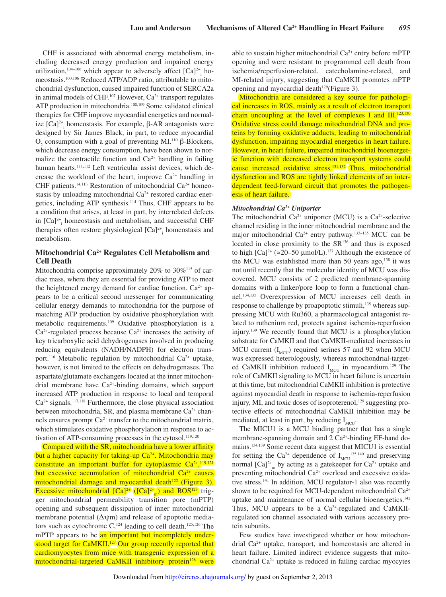CHF is associated with abnormal energy metabolism, including decreased energy production and impaired energy utilization,<sup>104–106</sup> which appear to adversely affect  $[Ca]^{2+}$ <sub>i</sub> homeostasis.100,106 Reduced ATP/ADP ratio, attributable to mitochondrial dysfunction, caused impaired function of SERCA2a in animal models of CHF.<sup>107</sup> However,  $Ca^{2+}$  transport regulates ATP production in mitochondria.<sup>108,109</sup> Some validated clinical therapies for CHF improve myocardial energetics and normalize  $[Ca]^{2+}$ <sub>i</sub> homeostasis. For example, β-AR antagonists were designed by Sir James Black, in part, to reduce myocardial  $O<sub>2</sub>$  consumption with a goal of preventing MI.<sup>110</sup> β-Blockers, which decrease energy consumption, have been shown to normalize the contractile function and  $Ca<sup>2+</sup>$  handling in failing human hearts.<sup>111,112</sup> Left ventricular assist devices, which decrease the workload of the heart, improve  $Ca^{2+}$  handling in CHF patients.<sup>14,113</sup> Restoration of mitochondrial Ca<sup>2+</sup> homeostasis by unloading mitochondrial Ca<sup>2+</sup> restored cardiac energetics, including ATP synthesis.<sup>114</sup> Thus, CHF appears to be a condition that arises, at least in part, by interrelated defects in  $[Ca]^{2+}$  homeostasis and metabolism, and successful CHF therapies often restore physiological  $[Ca]^{2+}$ <sub>i</sub> homeostasis and metabolism.

## **Mitochondrial Ca2+ Regulates Cell Metabolism and Cell Death**

Mitochondria comprise approximately 20% to  $30\%$ <sup>115</sup> of cardiac mass, where they are essential for providing ATP to meet the heightened energy demand for cardiac function.  $Ca^{2+}$  appears to be a critical second messenger for communicating cellular energy demands to mitochondria for the purpose of matching ATP production by oxidative phosphorylation with metabolic requirements.<sup>109</sup> Oxidative phosphorylation is a  $Ca<sup>2+</sup>$ -regulated process because  $Ca<sup>2+</sup>$  increases the activity of key tricarboxylic acid dehydrogenases involved in producing reducing equivalents (NADH/NADPH) for electron transport.<sup>116</sup> Metabolic regulation by mitochondrial  $Ca^{2+}$  uptake, however, is not limited to the effects on dehydrogenases. The aspartate/glutamate exchangers located at the inner mitochondrial membrane have  $Ca^{2+}$ -binding domains, which support increased ATP production in response to local and temporal  $Ca<sup>2+</sup>$  signals.<sup>117,118</sup> Furthermore, the close physical association between mitochondria, SR, and plasma membrane  $Ca^{2+}$  channels ensures prompt Ca2+ transfer to the mitochondrial matrix, which stimulates oxidative phosphorylation in response to activation of ATP-consuming processes in the cytosol.<sup>119,120</sup>

Compared with the SR, mitochondria have a lower affinity but a higher capacity for taking-up  $Ca<sup>2+</sup>$ . Mitochondria may constitute an important buffer for cytoplasmic  $Ca^{2+19,121}$ but excessive accumulation of mitochondrial  $Ca<sup>2+</sup>$  causes mitochondrial damage and myocardial death<sup>122</sup> (Figure 3). Excessive mitochondrial  $[Ca]^{2+}$  ( $[Ca]^{2+}$ <sub>m</sub>) and ROS<sup>123</sup> trigger mitochondrial permeability transition pore (mPTP) opening and subsequent dissipation of inner mitochondrial membrane potential  $(\Delta \psi m)$  and release of apoptotic mediators such as cytochrome  $C<sub>1</sub><sup>124</sup>$  leading to cell death.<sup>125,126</sup> The mPTP appears to be an important but incompletely understood target for CaMKII.<sup>127</sup> Our group recently reported that cardiomyocytes from mice with transgenic expression of a mitochondrial-targeted CaMKII inhibitory protein<sup>128</sup> were able to sustain higher mitochondrial Ca<sup>2+</sup> entry before mPTP opening and were resistant to programmed cell death from ischemia/reperfusion-related, catecholamine-related, and MI-related injury, suggesting that CaMKII promotes mPTP opening and myocardial death $129$ (Figure 3).

Mitochondria are considered a key source for pathological increases in ROS, mainly as a result of electron transport chain uncoupling at the level of complexes I and  $III$ .<sup>123,130</sup> Oxidative stress could damage mitochondrial DNA and proteins by forming oxidative adducts, leading to mitochondrial dysfunction, impairing myocardial energetics in heart failure. However, in heart failure, impaired mitochondrial bioenergetic function with decreased electron transport systems could cause increased oxidative stress.<sup>131,132</sup> Thus, mitochondrial dysfunction and ROS are tightly linked elements of an interdependent feed-forward circuit that promotes the pathogenesis of heart failure.

#### *Mitochondrial Ca2+ Uniporter*

The mitochondrial  $Ca^{2+}$  uniporter (MCU) is a  $Ca^{2+}$ -selective channel residing in the inner mitochondrial membrane and the major mitochondrial Ca<sup>2+</sup> entry pathway.<sup>133-135</sup> MCU can be located in close proximity to the SR<sup>136</sup> and thus is exposed to high  $[Ca]^{2+}$  (≈20–50 µmol/L).<sup>137</sup> Although the existence of the MCU was established more than 50 years ago,<sup>138</sup> it was not until recently that the molecular identity of MCU was discovered. MCU consists of 2 predicted membrane-spanning domains with a linker/pore loop to form a functional channel.134,135 Overexpression of MCU increases cell death in response to challenge by proapoptotic stimuli,<sup>135</sup> whereas suppressing MCU with Ru360, a pharmacological antagonist related to ruthenium red, protects against ischemia-reperfusion injury.<sup>139</sup> We recently found that MCU is a phosphorylation substrate for CaMKII and that CaMKII-mediated increases in MCU current  $(I_{\text{MCU}})$  required serines 57 and 92 when MCU was expressed heterologously, whereas mitochondrial-targeted CaMKII inhibition reduced  $I_{MCU}$  in myocardium.<sup>129</sup> The role of CaMKII signaling to MCU in heart failure is uncertain at this time, but mitochondrial CaMKII inhibition is protective against myocardial death in response to ischemia-reperfusion injury, MI, and toxic doses of isoproterenol,<sup>129</sup> suggesting protective effects of mitochondrial CaMKII inhibition may be mediated, at least in part, by reducing  $I_{MCU}$ .

The MICU1 is a MCU binding partner that has a single membrane-spanning domain and  $2 Ca<sup>2+</sup>$ -binding EF-hand domains.134,139 Some recent data suggest that MICU1 is essential for setting the  $Ca^{2+}$  dependence of  $I_{MCU}^{135,140}$  and preserving normal  $[Ca]^{2+}$ <sub>m</sub> by acting as a gatekeeper for  $Ca^{2+}$  uptake and preventing mitochondrial Ca<sup>2+</sup> overload and excessive oxidative stress.<sup>141</sup> In addition, MCU regulator-1 also was recently shown to be required for MCU-dependent mitochondrial  $Ca^{2+}$ uptake and maintenance of normal cellular bioenergetics.<sup>142</sup> Thus, MCU appears to be a  $Ca<sup>2+</sup>$ -regulated and CaMKIIregulated ion channel associated with various accessory protein subunits.

Few studies have investigated whether or how mitochondrial Ca2+ uptake, transport, and homeostasis are altered in heart failure. Limited indirect evidence suggests that mitochondrial Ca2+ uptake is reduced in failing cardiac myocytes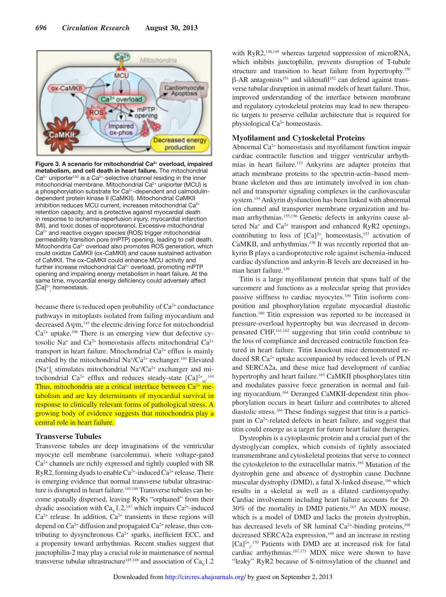

Figure 3. A scenario for mitochondrial Ca<sup>2+</sup> overload, impaired metabolism, and cell death in heart failure. The mitochondrial  $Ca^{2+}$  uniporter<sup>132</sup> is a  $Ca^{2+}$ -selective channel residing in the inner mitochondrial membrane. Mitochondrial Ca<sup>2+</sup> uniporter (MCU) is a phosphorylation substrate for Ca<sup>2+</sup>-dependent and calmodulindependent protein kinase II (CaMKII). Mitochondrial CaMKII inhibition reduces MCU current, increases mitochondrial Ca<sup>2+</sup> retention capacity, and is protective against myocardial death in response to ischemia-reperfusion injury, myocardial infarction (MI), and toxic doses of isoproterenol. Excessive mitochondrial Ca<sup>2+</sup> and reactive oxygen species (ROS) trigger mitochondrial permeability transition pore (mPTP) opening, leading to cell death. Mitochondria Ca<sup>2+</sup> overload also promotes ROS generation, which could oxidize CaMKII (ox-CaMKII) and cause sustained activation of CaMKII. The ox-CaMKII could enhance MCU activity and further increase mitochondrial Ca<sup>2+</sup> overload, promoting mPTP opening and impairing energy metabolism in heart failure. At the same time, myocardial energy deficiency could adversely affect [Ca]2+ i homeostasis.

because there is reduced open probability of  $Ca<sup>2+</sup>$  conductance pathways in mitoplasts isolated from failing myocardium and decreased  $\Delta \psi m$ ,<sup>143</sup> the electric driving force for mitochondrial  $Ca<sup>2+</sup>$  uptake.<sup>106</sup> There is an emerging view that defective cytosolic Na<sup>+</sup> and Ca<sup>2+</sup> homeostasis affects mitochondrial Ca<sup>2+</sup> transport in heart failure. Mitochondrial  $Ca<sup>2+</sup>$  efflux is mainly enabled by the mitochondrial  $Na^{\dagger}/Ca^{2+}$  exchanger.<sup>144</sup> Elevated [Na<sup>+</sup>]<sub>i</sub> stimulates mitochondrial Na<sup>+</sup>/Ca<sup>2+</sup> exchanger and mitochondrial  $Ca^{2+}$  efflux and reduces steady-state  $[Ca]^{2+}$ <sub>m</sub><sup>144</sup> Thus, mitochondria are a critical interface between  $Ca^{2+}$  metabolism and are key determinants of myocardial survival in response to clinically relevant forms of pathological stress. A growing body of evidence suggests that mitochondria play a central role in heart failure.

## **Transverse Tubules**

Transverse tubules are deep invaginations of the ventricular myocyte cell membrane (sarcolemma), where voltage-gated  $Ca<sup>2+</sup>$  channels are richly expressed and tightly coupled with SR RyR2, forming dyads to enable  $Ca^{2+}$ -induced  $Ca^{2+}$  release. There is emerging evidence that normal transverse tubular ultrastructure is disrupted in heart failure.<sup>145,146</sup> Transverse tubules can become spatially dispersed, leaving RyRs "orphaned" from their dyadic association with  $Ca<sub>v</sub>1.2$ ,<sup>147</sup> which impairs  $Ca<sup>2+</sup>$ -induced  $Ca<sup>2+</sup>$  release. In addition,  $Ca<sup>2+</sup>$  transients in these regions will depend on  $Ca^{2+}$  diffusion and propagated  $Ca^{2+}$  release, thus contributing to dysynchronous  $Ca^{2+}$  sparks, inefficient ECC, and a propensity toward arrhythmias. Recent studies suggest that junctophilin-2 may play a crucial role in maintenance of normal transverse tubular ultrastructure<sup>145,148</sup> and association of  $Ca<sub>v</sub>1.2$  with RyR2,<sup>148,149</sup> whereas targeted suppression of microRNA, which inhibits junctophilin, prevents disruption of T-tubule structure and transition to heart failure from hypertrophy.<sup>150</sup>  $β$ -AR antagonists<sup>151</sup> and sildenafil<sup>152</sup> can defend against transverse tubular disruption in animal models of heart failure. Thus, improved understanding of the interface between membrane and regulatory cytoskeletal proteins may lead to new therapeutic targets to preserve cellular architecture that is required for physiological Ca2+ homeostasis.

## **Myofilament and Cytoskeletal Proteins**

Abnormal  $Ca<sup>2+</sup>$  homeostasis and myofilament function impair cardiac contractile function and trigger ventricular arrhythmias in heart failure.<sup>153</sup> Ankyrins are adapter proteins that attach membrane proteins to the spectrin-actin–based membrane skeleton and thus are intimately involved in ion channel and transporter signaling complexes in the cardiovascular system.<sup>154</sup> Ankyrin dysfunction has been linked with abnormal ion channel and transporter membrane organization and human arrhythmias.155,156 Genetic defects in ankyrins cause altered Na<sup>+</sup> and Ca<sup>2+</sup> transport and enhanced RyR2 openings, contributing to loss of  $[Ca]^{2+}$  homeostasis,<sup>157</sup> activation of CaMKII, and arrhythmias.<sup>158</sup> It was recently reported that ankyrin B plays a cardioprotective role against ischemia-induced cardiac dysfunction and ankyrin-B levels are decreased in human heart failure.<sup>159</sup>

Titin is a large myofilament protein that spans half of the sarcomere and functions as a molecular spring that provides passive stiffness to cardiac myocytes.160 Titin isoform composition and phosphorylation regulate myocardial diastolic function.<sup>160</sup> Titin expression was reported to be increased in pressure-overload hypertrophy but was decreased in decompensated CHF,161,162 suggesting that titin could contribute to the loss of compliance and decreased contractile function featured in heart failure. Titin knockout mice demonstrated reduced SR Ca2+ uptake accompanied by reduced levels of PLN and SERCA2a, and these mice had development of cardiac hypertrophy and heart failure.<sup>163</sup> CaMKII phosphorylates titin and modulates passive force generation in normal and failing myocardium.164 Deranged CaMKII-dependent titin phosphorylation occurs in heart failure and contributes to altered diastolic stress.164 These findings suggest that titin is a participant in Ca2+-related defects in heart failure, and suggest that titin could emerge as a target for future heart failure therapies.

Dystrophin is a cytoplasmic protein and a crucial part of the dystroglycan complex, which consists of tightly associated transmembrane and cytoskeletal proteins that serve to connect the cytoskeleton to the extracellular matrix.<sup>165</sup> Mutation of the dystrophin gene and absence of dystrophin cause Duchnne muscular dystrophy (DMD), a fatal X-linked disease,<sup>166</sup> which results in a skeletal as well as a dilated cardiomyopathy. Cardiac involvement including heart failure accounts for 20- 30% of the mortality in DMD patients.<sup>167</sup> An MDX mouse, which is a model of DMD and lacks the protein dystrophin, has decreased levels of SR luminal  $Ca^{2+}$ -binding proteins,<sup>168</sup> decreased SERCA2a expression,<sup>169</sup> and an increase in resting  $[Ca]^{2+}$ <sup>170</sup> Patients with DMD are at increased risk for fatal cardiac arrhythmias.167,171 MDX mice were shown to have "leaky" RyR2 because of S-nitrosylation of the channel and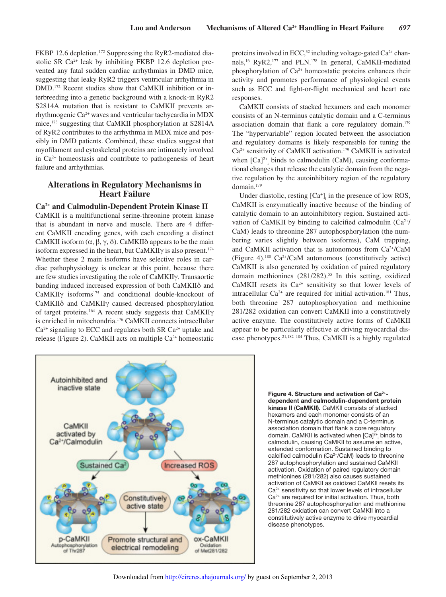FKBP 12.6 depletion.<sup>172</sup> Suppressing the RyR2-mediated diastolic SR  $Ca^{2+}$  leak by inhibiting FKBP 12.6 depletion prevented any fatal sudden cardiac arrhythmias in DMD mice, suggesting that leaky RyR2 triggers ventricular arrhythmia in DMD.172 Recent studies show that CaMKII inhibition or interbreeding into a genetic background with a knock-in RyR2 S2814A mutation that is resistant to CaMKII prevents arrhythmogenic Ca2+ waves and ventricular tachycardia in MDX mice,<sup>173</sup> suggesting that CaMKII phosphorylation at S2814A of RyR2 contributes to the arrhythmia in MDX mice and possibly in DMD patients. Combined, these studies suggest that myofilament and cytoskeletal proteins are intimately involved in  $Ca<sup>2+</sup>$  homeostasis and contribute to pathogenesis of heart failure and arrhythmias.

## **Alterations in Regulatory Mechanisms in Heart Failure**

#### **Ca2+ and Calmodulin-Dependent Protein Kinase II**

CaMKII is a multifunctional serine-threonine protein kinase that is abundant in nerve and muscle. There are 4 different CaMKII encoding genes, with each encoding a distinct CaMKII isoform  $(\alpha, \beta, \gamma, \delta)$ . CaMKII $\delta$  appears to be the main isoform expressed in the heart, but CaMKII $\gamma$  is also present.<sup>174</sup> Whether these 2 main isoforms have selective roles in cardiac pathophysiology is unclear at this point, because there are few studies investigating the role of CaMKIIγ. Transaortic banding induced increased expression of both CaMKIIδ and CaMKIIγ isoforms<sup>175</sup> and conditional double-knockout of CaMKIIδ and CaMKIIγ caused decreased phosphorylation of target proteins.<sup>164</sup> A recent study suggests that CaMKIIγ is enriched in mitochondria.<sup>176</sup> CaMKII connects intracellular  $Ca<sup>2+</sup>$  signaling to ECC and regulates both SR  $Ca<sup>2+</sup>$  uptake and release (Figure 2). CaMKII acts on multiple  $Ca<sup>2+</sup>$  homeostatic

proteins involved in ECC, $32$  including voltage-gated Ca<sup>2+</sup> channels,<sup>16</sup> RyR2,<sup>177</sup> and PLN.<sup>178</sup> In general, CaMKII-mediated phosphorylation of  $Ca^{2+}$  homeostatic proteins enhances their activity and promotes performance of physiological events such as ECC and fight-or-flight mechanical and heart rate responses.

CaMKII consists of stacked hexamers and each monomer consists of an N-terminus catalytic domain and a C-terminus association domain that flank a core regulatory domain.<sup>179</sup> The "hypervariable" region located between the association and regulatory domains is likely responsible for tuning the Ca2+ sensitivity of CaMKII activation.<sup>179</sup> CaMKII is activated when  $[Ca]^{2+}$  binds to calmodulin (CaM), causing conformational changes that release the catalytic domain from the negative regulation by the autoinhibitory region of the regulatory domain.<sup>179</sup>

Under diastolic, resting  $[Ca^+]$ <sub>i</sub> in the presence of low ROS, CaMKII is enzymatically inactive because of the binding of catalytic domain to an autoinhibitory region. Sustained activation of CaMKII by binding to calcified calmodulin  $(Ca^{2+}/Ca)$ CaM) leads to threonine 287 autophosphorylation (the numbering varies slightly between isoforms), CaM trapping, and CaMKII activation that is autonomous from Ca2+/CaM (Figure 4).<sup>180</sup> Ca2+/CaM autonomous (constitutively active) CaMKII is also generated by oxidation of paired regulatory domain methionines (281/282).<sup>55</sup> In this setting, oxidized CaMKII resets its  $Ca^{2+}$  sensitivity so that lower levels of intracellular  $Ca^{2+}$  are required for initial activation.<sup>181</sup> Thus, both threonine 287 autophosphoryation and methionine 281/282 oxidation can convert CaMKII into a constitutively active enzyme. The constitutively active forms of CaMKII appear to be particularly effective at driving myocardial disease phenotypes.21,182–184 Thus, CaMKII is a highly regulated



Figure 4. Structure and activation of Ca2+ dependent and calmodulin-dependent protein kinase II (CaMKII). CaMKII consists of stacked hexamers and each monomer consists of an N-terminus catalytic domain and a C-terminus association domain that flank a core regulatory domain. CaMKII is activated when [Ca]<sup>2+</sup>, binds to calmodulin, causing CaMKII to assume an active, extended conformation. Sustained binding to calcified calmodulin (Ca2+/CaM) leads to threonine 287 autophosphorylation and sustained CaMKII activation. Oxidation of paired regulatory domain methionines (281/282) also causes sustained activation of CaMKII as oxidized CaMKII resets its Ca<sup>2+</sup> sensitivity so that lower levels of intracellular Ca<sup>2+</sup> are required for initial activation. Thus, both threonine 287 autophosphoryation and methionine 281/282 oxidation can convert CaMKII into a constitutively active enzyme to drive myocardial disease phenotypes.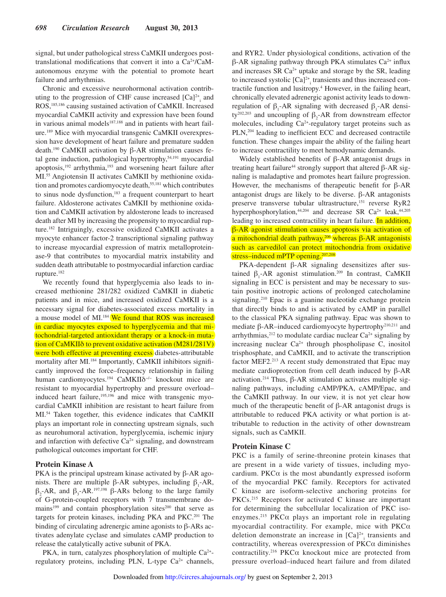signal, but under pathological stress CaMKII undergoes posttranslational modifications that convert it into a Ca2+/CaMautonomous enzyme with the potential to promote heart failure and arrhythmias.

Chronic and excessive neurohormonal activation contributing to the progression of CHF cause increased  $[Ca]^{2+}$ <sub>i</sub> and ROS,185,186 causing sustained activation of CaMKII. Increased myocardial CaMKII activity and expression have been found in various animal models<sup>187,188</sup> and in patients with heart failure.189 Mice with myocardial transgenic CaMKII overexpression have development of heart failure and premature sudden death.190 CaMKII activation by β-AR stimulation causes fetal gene induction, pathological hypertrophy,<sup>54,191</sup> myocardial apoptosis,<sup>192</sup> arrhythmia,<sup>193</sup> and worsening heart failure after MI.55 Angiotensin II activates CaMKII by methionine oxidation and promotes cardiomyocyte death,<sup>55,181</sup> which contributes to sinus node dysfunction,<sup>183</sup> a frequent counterpart to heart failure. Aldosterone activates CaMKII by methionine oxidation and CaMKII activation by aldosterone leads to increased death after MI by increasing the propensity to myocardial rupture.<sup>182</sup> Intriguingly, excessive oxidized CaMKII activates a myocyte enhancer factor-2 transcriptional signaling pathway to increase myocardial expression of matrix metalloproteinase-9 that contributes to myocardial matrix instability and sudden death attributable to postmyocardial infarction cardiac rupture.<sup>182</sup>

We recently found that hyperglycemia also leads to increased methionine 281/282 oxidized CaMKII in diabetic patients and in mice, and increased oxidized CaMKII is a necessary signal for diabetes-associated excess mortality in a mouse model of MI.<sup>184</sup> We found that ROS was increased in cardiac myocytes exposed to hyperglycemia and that mitochondrial-targeted antioxidant therapy or a knock-in mutation of CaMKIIδ to prevent oxidative activation (M281/281V) were both effective at preventing excess diabetes-attributable mortality after MI.<sup>184</sup> Importantly, CaMKII inhibitors significantly improved the force–frequency relationship in failing human cardiomyocytes.<sup>194</sup> CaMKIIδ<sup>-/-</sup> knockout mice are resistant to myocardial hypertrophy and pressure overload– induced heart failure,<sup>195,196</sup> and mice with transgenic myocardial CaMKII inhibition are resistant to heart failure from MI.<sup>54</sup> Taken together, this evidence indicates that CaMKII plays an important role in connecting upstream signals, such as neurohumoral activation, hyperglycemia, ischemic injury and infarction with defective  $Ca^{2+}$  signaling, and downstream pathological outcomes important for CHF.

#### **Protein Kinase A**

PKA is the principal upstream kinase activated by β-AR agonists. There are multiple β-AR subtypes, including  $β_1$ -AR,  $β_2$ -AR, and  $β_3$ -AR.<sup>197,198</sup> β-ARs belong to the large family of G-protein-coupled receptors with 7 transmembrane domains<sup>199</sup> and contain phosphorylation sites<sup>200</sup> that serve as targets for protein kinases, including PKA and PKC.<sup>201</sup> The binding of circulating adrenergic amine agonists to β-ARs activates adenylate cyclase and simulates cAMP production to release the catalytically active subunit of PKA.

PKA, in turn, catalyzes phosphorylation of multiple Ca<sup>2+</sup>regulatory proteins, including PLN, L-type Ca<sup>2+</sup> channels, and RYR2. Under physiological conditions, activation of the  $β$ -AR signaling pathway through PKA stimulates  $Ca<sup>2+</sup>$  influx and increases SR Ca2+ uptake and storage by the SR, leading to increased systolic  $[Ca]^{2+}$ <sub>i</sub> transients and thus increased contractile function and lusitropy.<sup>4</sup> However, in the failing heart, chronically elevated adrenergic agonist activity leads to downregulation of  $β_1$ -AR signaling with decreased  $β_1$ -AR density<sup>202,203</sup> and uncoupling of  $\beta_2$ -AR from downstream effector molecules, including Ca2+-regulatory target proteins such as PLN,<sup>204</sup> leading to inefficient ECC and decreased contractile function. These changes impair the ability of the failing heart to increase contractility to meet hemodynamic demands.

Widely established benefits of β-AR antagonist drugs in treating heart failure<sup>44</sup> strongly support that altered β-AR signaling is maladaptive and promotes heart failure progression. However, the mechanisms of therapeutic benefit for β-AR antagonist drugs are likely to be diverse. β-AR antagonists preserve transverse tubular ultrastructure,<sup>151</sup> reverse RyR2 hyperphosphorylation, $44,204$  and decrease SR Ca<sup>2+</sup> leak, $44,205$ leading to increased contractility in heart failure. In addition, β-AR agonist stimulation causes apoptosis via activation of a mitochondrial death pathway,<sup>206</sup> whereas β-AR antagonists such as carvedilol can protect mitochondria from oxidative stress–induced mPTP opening.<sup>207,208</sup>

PKA-dependent β-AR signaling desensitizes after sustained  $\beta_1$ -AR agonist stimulation.<sup>209</sup> In contrast, CaMKII signaling in ECC is persistent and may be necessary to sustain positive inotropic actions of prolonged catecholamine signaling.<sup>210</sup> Epac is a guanine nucleotide exchange protein that directly binds to and is activated by cAMP in parallel to the classical PKA signaling pathway. Epac was shown to mediate β-AR–induced cardiomyocyte hypertrophy210,211 and arrhythmias, $2^{12}$  to modulate cardiac nuclear Ca<sup>2+</sup> signaling by increasing nuclear  $Ca^{2+}$  through phospholipase C, inositol trisphosphate, and CaMKII, and to activate the transcription factor MEF2.<sup>213</sup> A recent study demonstrated that Epac may mediate cardioprotection from cell death induced by β-AR activation.<sup>214</sup> Thus, β-AR stimulation activates multiple signaling pathways, including cAMP/PKA, cAMP/Epac, and the CaMKII pathway. In our view, it is not yet clear how much of the therapeutic benefit of β-AR antagonist drugs is attributable to reduced PKA activity or what portion is attributable to reduction in the activity of other downstream signals, such as CaMKII.

#### **Protein Kinase C**

PKC is a family of serine-threonine protein kinases that are present in a wide variety of tissues, including myocardium. PKC $\alpha$  is the most abundantly expressed isoform of the myocardial PKC family. Receptors for activated C kinase are isoform-selective anchoring proteins for PKCs.<sup>215</sup> Receptors for activated C kinase are important for determining the subcellular localization of PKC isoenzymes.<sup>215</sup> PKC $\alpha$  plays an important role in regulating myocardial contractility. For example, mice with  $PKC\alpha$ deletion demonstrate an increase in  $[Ca]^{2+}$ <sub>i</sub> transients and contractility, whereas overexpression of PKCα diminishes contractility.<sup>216</sup> PKC $\alpha$  knockout mice are protected from pressure overload–induced heart failure and from dilated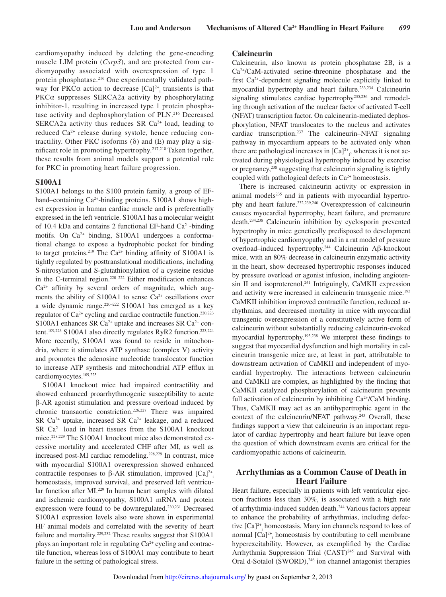cardiomyopathy induced by deleting the gene-encoding muscle LIM protein (*Csrp3*), and are protected from cardiomyopathy associated with overexpression of type 1 protein phosphatase.<sup>216</sup> One experimentally validated pathway for PKC $\alpha$  action to decrease  $[Ca]^{2+}$ <sub>i</sub> transients is that PKCα suppresses SERCA2a activity by phosphorylating inhibitor-1, resulting in increased type 1 protein phosphatase activity and dephosphorylation of PLN.<sup>216</sup> Decreased SERCA2a activity thus reduces SR Ca<sup>2+</sup> load, leading to reduced Ca<sup>2+</sup> release during systole, hence reducing contractility. Other PKC isoforms  $(\delta)$  and  $(E)$  may play a significant role in promoting hypertrophy.217,218 Taken together, these results from animal models support a potential role for PKC in promoting heart failure progression.

#### **S100A1**

S100A1 belongs to the S100 protein family, a group of EFhand–containing Ca<sup>2+</sup>-binding proteins. S100A1 shows highest expression in human cardiac muscle and is preferentially expressed in the left ventricle. S100A1 has a molecular weight of 10.4 kDa and contains 2 functional EF-hand  $Ca<sup>2+</sup>$ -binding motifs. On Ca<sup>2+</sup> binding, S100A1 undergoes a conformational change to expose a hydrophobic pocket for binding to target proteins.<sup>219</sup> The Ca<sup>2+</sup> binding affinity of S100A1 is tightly regulated by posttranslational modifications, including S-nitrosylation and S-glutathionylation of a cysteine residue in the C-terminal region.<sup>220-222</sup> Either modification enhances  $Ca<sup>2+</sup>$  affinity by several orders of magnitude, which augments the ability of S100A1 to sense  $Ca<sup>2+</sup>$  oscillations over a wide dynamic range.<sup>220–222</sup> S100A1 has emerged as a key regulator of  $Ca^{2+}$  cycling and cardiac contractile function.<sup>220,223</sup> S100A1 enhances SR Ca<sup>2+</sup> uptake and increases SR Ca<sup>2+</sup> content.<sup>109,223</sup> S100A1 also directly regulates RyR2 function.<sup>223,224</sup> More recently, S100A1 was found to reside in mitochondria, where it stimulates ATP synthase (complex V) activity and promotes the adenosine nucleotide translocator function to increase ATP synthesis and mitochondrial ATP efflux in cardiomyocytes.109,225

S100A1 knockout mice had impaired contractility and showed enhanced proarrhythmogenic susceptibility to acute β-AR agonist stimulation and pressure overload induced by chronic transaortic constriction.226,227 There was impaired SR  $Ca^{2+}$  uptake, increased SR  $Ca^{2+}$  leakage, and a reduced SR Ca2+ load in heart tissues from the S100A1 knockout mice.228,229 The S100A1 knockout mice also demonstrated excessive mortality and accelerated CHF after MI, as well as increased post-MI cardiac remodeling.228,229 In contrast, mice with myocardial S100A1 overexpression showed enhanced contractile responses to  $\beta$ -AR stimulation, improved  $\lbrack Ca]^{2+}$ homeostasis, improved survival, and preserved left ventricular function after MI.<sup>229</sup> In human heart samples with dilated and ischemic cardiomyopathy, S100A1 mRNA and protein expression were found to be downregulated.<sup>230,231</sup> Decreased S100A1 expression levels also were shown in experimental HF animal models and correlated with the severity of heart failure and mortality.<sup>229,232</sup> These results suggest that S100A1 plays an important role in regulating Ca<sup>2+</sup> cycling and contractile function, whereas loss of S100A1 may contribute to heart failure in the setting of pathological stress.

#### **Calcineurin**

Calcineurin, also known as protein phosphatase 2B, is a Ca2+/CaM-activated serine-threonine phosphatase and the first Ca2+-dependent signaling molecule explicitly linked to myocardial hypertrophy and heart failure.<sup>233,234</sup> Calcineurin signaling stimulates cardiac hypertrophy235,236 and remodeling through activation of the nuclear factor of activated T-cell (NFAT) transcription factor. On calcineurin-mediated dephosphorylation, NFAT translocates to the nucleus and activates cardiac transcription.<sup>237</sup> The calcineurin–NFAT signaling pathway in myocardium appears to be activated only when there are pathological increases in  $[Ca]^{2+}_{1}$ , whereas it is not activated during physiological hypertrophy induced by exercise or pregnancy,<sup>238</sup> suggesting that calcineurin signaling is tightly coupled with pathological defects in  $Ca<sup>2+</sup>$  homeostasis.

There is increased calcineurin activity or expression in animal models<sup>235</sup> and in patients with myocardial hypertrophy and heart failure.232,239,240 Overexpression of calcineurin causes myocardial hypertrophy, heart failure, and premature death.234,238 Calcineurin inhibition by cyclosporin prevented hypertrophy in mice genetically predisposed to development of hypertrophic cardiomyopathy and in a rat model of pressure overload–induced hypertrophy.<sup>244</sup> Calcineurin Aβ-knockout mice, with an 80% decrease in calcineurin enzymatic activity in the heart, show decreased hypertrophic responses induced by pressure overload or agonist infusion, including angiotensin II and isoproterenol.<sup>241</sup> Intriguingly, CaMKII expression and activity were increased in calcineurin transgenic mice.<sup>193</sup> CaMKII inhibition improved contractile function, reduced arrhythmias, and decreased mortality in mice with myocardial transgenic overexpression of a constitutively active form of calcineurin without substantially reducing calcineurin-evoked myocardial hypertrophy.193,238 We interpret these findings to suggest that myocardial dysfunction and high mortality in calcineurin transgenic mice are, at least in part, attributable to downstream activation of CaMKII and independent of myocardial hypertrophy. The interactions between calcineurin and CaMKII are complex, as highlighted by the finding that CaMKII catalyzed phosphorylation of calcineurin prevents full activation of calcineurin by inhibiting  $Ca^{2+}/CaM$  binding. Thus, CaMKII may act as an antihypertrophic agent in the context of the calcineurin/NFAT pathway.<sup>243</sup> Overall, these findings support a view that calcineurin is an important regulator of cardiac hypertrophy and heart failure but leave open the question of which downstream events are critical for the cardiomyopathic actions of calcineurin.

## **Arrhythmias as a Common Cause of Death in Heart Failure**

Heart failure, especially in patients with left ventricular ejection fractions less than 30%, is associated with a high rate of arrhythmia-induced sudden death.<sup>244</sup> Various factors appear to enhance the probability of arrhythmias, including defective [Ca]<sup>2+</sup><sub>i</sub> homeostasis. Many ion channels respond to loss of normal  $[Ca]^{2+}$  homeostasis by contributing to cell membrane hyperexcitability. However, as exemplified by the Cardiac Arrhythmia Suppression Trial (CAST)<sup>245</sup> and Survival with Oral d-Sotalol (SWORD),<sup>246</sup> ion channel antagonist therapies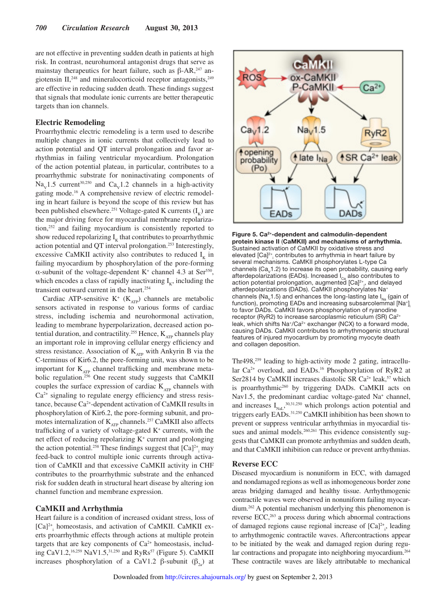are not effective in preventing sudden death in patients at high risk. In contrast, neurohumoral antagonist drugs that serve as mainstay therapeutics for heart failure, such as  $\beta$ -AR,<sup>247</sup> angiotensin  $II$ ,<sup>248</sup> and mineralocorticoid receptor antagonists,<sup>249</sup> are effective in reducing sudden death. These findings suggest that signals that modulate ionic currents are better therapeutic targets than ion channels.

#### **Electric Remodeling**

Proarrhythmic electric remodeling is a term used to describe multiple changes in ionic currents that collectively lead to action potential and QT interval prolongation and favor arrhythmias in failing ventricular myocardium. Prolongation of the action potential plateau, in particular, contributes to a proarrhythmic substrate for noninactivating components of  $\text{Na}_{\text{v}}$ 1.5 current<sup>30,250</sup> and Ca<sub>v</sub>1.2 channels in a high-activity gating mode.16 A comprehensive review of electric remodeling in heart failure is beyond the scope of this review but has been published elsewhere.<sup>251</sup> Voltage-gated K currents  $(I_K)$  are the major driving force for myocardial membrane repolarization,<sup>252</sup> and failing myocardium is consistently reported to show reduced repolarizing  $I_k$  that contributes to proarrhythmic action potential and QT interval prolongation.<sup>253</sup> Interestingly, excessive CaMKII activity also contributes to reduced  $I_K$  in failing myocardium by phosphorylation of the pore-forming  $\alpha$ -subunit of the voltage-dependent K<sup>+</sup> channel 4.3 at Ser<sup>550</sup>, which encodes a class of rapidly inactivating  $I_{K}$ , including the transient outward current in the heart.<sup>254</sup>

Cardiac ATP-sensitive  $K^+$  ( $K_{ATP}$ ) channels are metabolic sensors activated in response to various forms of cardiac stress, including ischemia and neurohormonal activation, leading to membrane hyperpolarization, decreased action potential duration, and contractility.<sup>255</sup> Hence,  $K_{ATP}$  channels play an important role in improving cellular energy efficiency and stress resistance. Association of  $K_{ATP}$  with Ankyrin B via the C-terminus of Kir6.2, the pore-forming unit, was shown to be important for  $K_{ATP}$  channel trafficking and membrane metabolic regulation.<sup>256</sup> One recent study suggests that CaMKII couples the surface expression of cardiac  $K_{ATP}$  channels with  $Ca<sup>2+</sup>$  signaling to regulate energy efficiency and stress resistance, because Ca2+-dependent activation of CaMKII results in phosphorylation of Kir6.2, the pore-forming subunit, and promotes internalization of  $K_{ATP}$  channels.<sup>257</sup> CaMKII also affects trafficking of a variety of voltage-gated  $K^+$  currents, with the net effect of reducing repolarizing K<sup>+</sup> current and prolonging the action potential.<sup>258</sup> These findings suggest that  $[Ca]^{2+}$ <sub>i</sub> may feed-back to control multiple ionic currents through activation of CaMKII and that excessive CaMKII activity in CHF contributes to the proarrhythmic substrate and the enhanced risk for sudden death in structural heart disease by altering ion channel function and membrane expression.

#### **CaMKII and Arrhythmia**

Heart failure is a condition of increased oxidant stress, loss of [Ca]<sup>2+</sup><sub>i</sub> homeostasis, and activation of CaMKII. CaMKII exerts proarrhythmic effects through actions at multiple protein targets that are key components of  $Ca<sup>2+</sup>$  homeostasis, including CaV1.2,16,259 NaV1.5,31,250 and RyRs<sup>57</sup> (Figure 5). CaMKII increases phosphorylation of a CaV1.2 β-subunit ( $\beta_{2a}$ ) at



Figure 5. Ca2+-dependent and calmodulin-dependent protein kinase II (CaMKII) and mechanisms of arrhythmia. Sustained activation of CaMKII by oxidative stress and elevated [Ca]<sup>2+</sup><sub>i</sub> contributes to arrhythmia in heart failure by several mechanisms. CaMKII phosphorylates L-type Ca channels ( $Ca<sub>v</sub>1.2$ ) to increase its open probability, causing early afterdepolarizations (EADs). Increased  $I_{Ca}$  also contributes to action potential prolongation, augmented [Ca]<sup>2+</sup><sub>i</sub>, and delayed afterdepolarizations (DADs). CaMKII phosphorylates Na<sup>+</sup> channels ( $Na<sub>v</sub>1.5$ ) and enhances the long-lasting late  $I<sub>Na</sub>$  (gain of function), promoting EADs and increasing subsarcolemmal [Na<sup>+</sup>]<sub>i</sub> to favor DADs. CaMKII favors phosphorylation of ryanodine receptor (RyR2) to increase sarcoplasmic reticulum (SR) Ca2+ leak, which shifts Na<sup>+</sup>/Ca<sup>2+</sup> exchanger (NCX) to a forward mode, causing DADs. CaMKII contributes to arrhythmogenic structural features of injured myocardium by promoting myocyte death and collagen deposition.

Thr498,<sup>259</sup> leading to high-activity mode 2 gating, intracellular Ca<sup>2+</sup> overload, and EADs.<sup>16</sup> Phosphorylation of RyR2 at Ser2814 by CaMKII increases diastolic SR Ca<sup>2+</sup> leak,<sup>57</sup> which is proarrhythmic<sup>260</sup> by triggering DADs. CaMKII acts on Nav1.5, the predominant cardiac voltage-gated Na<sup>+</sup> channel, and increases  $I_{\text{Nat}}^{30,31,250}$  which prolongs action potential and triggers early EADs.31,250 CaMKII inhibition has been shown to prevent or suppress ventricular arrhythmias in myocardial tissues and animal models.<sup>260,261</sup> This evidence consistently suggests that CaMKII can promote arrhythmias and sudden death, and that CaMKII inhibition can reduce or prevent arrhythmias.

#### **Reverse ECC**

Diseased myocardium is nonuniform in ECC, with damaged and nondamaged regions as well as inhomogeneous border zone areas bridging damaged and healthy tissue. Arrhythmogenic contractile waves were observed in nonuniform failing myocardium.<sup>262</sup> A potential mechanism underlying this phenomenon is reverse ECC,<sup>263</sup> a process during which abnormal contractions of damaged regions cause regional increase of  $[Ca]^{2+}$ <sub>i</sub>, leading to arrhythmogenic contractile waves. Aftercontractions appear to be initiated by the weak and damaged region during regular contractions and propagate into neighboring myocardium.<sup>264</sup> These contractile waves are likely attributable to mechanical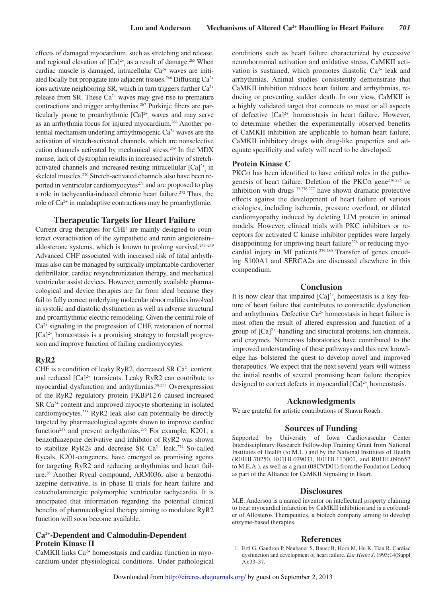effects of damaged myocardium, such as stretching and release, and regional elevation of  $[Ca]^{2+}$  as a result of damage.<sup>265</sup> When cardiac muscle is damaged, intracellular Ca<sup>2+</sup> waves are initiated locally but propagate into adjacent tissues.<sup>266</sup> Diffusing Ca<sup>2+</sup> ions activate neighboring SR, which in turn triggers further  $Ca^{2+}$ release from SR. These  $Ca^{2+}$  waves may give rise to premature contractions and trigger arrhythmias.<sup>267</sup> Purkinje fibers are particularly prone to proarrhythmic  $[Ca]^{2+}$  waves and may serve as an arrhythmia focus for injured myocardium.<sup>268</sup> Another potential mechanism underling arrhythmogenic  $Ca^{2+}$  waves are the activation of stretch-activated channels, which are nonselective cation channels activated by mechanical stress.<sup>269</sup> In the MDX mouse, lack of dystrophin results in increased activity of stretchactivated channels and increased resting intracellular  $[Ca]^{2+}$  in skeletal muscles.<sup>270</sup> Stretch-activated channels also have been reported in ventricular cardiomyocytes $271$  and are proposed to play a role in tachycardia-induced chronic heart failure.<sup>272</sup> Thus, the role of Ca<sup>2+</sup> in maladaptive contractions may be proarrhythmic.

#### **Therapeutic Targets for Heart Failure**

Current drug therapies for CHF are mainly designed to counteract overactivation of the sympathetic and renin angiotensin– aldosterone systems, which is known to prolong survival.247–249 Advanced CHF associated with increased risk of fatal arrhythmias also can be managed by surgically implantable cardioverter defibrillator, cardiac resynchronization therapy, and mechanical ventricular assist devices. However, currently available pharmacological and device therapies are far from ideal because they fail to fully correct underlying molecular abnormalities involved in systolic and diastolic dysfunction as well as adverse structural and proarrhythmic electric remodeling. Given the central role of  $Ca<sup>2+</sup>$  signaling in the progression of CHF, restoration of normal  $[Ca]^{2+}$  homeostasis is a promising strategy to forestall progression and improve function of failing cardiomyocytes.

#### **RyR2**

CHF is a condition of leaky RyR2, decreased SR  $Ca<sup>2+</sup>$  content, and reduced  $[Ca]^{2+}$ <sub>i</sub> transients. Leaky RyR2 can contribute to myocardial dysfunction and arrhythmias.58,238 Overexpression of the RyR2 regulatory protein FKBP12.6 caused increased SR Ca<sup>2+</sup> content and improved myocyte shortening in isolated cardiomyocytes.<sup>238</sup> RyR2 leak also can potentially be directly targeted by pharmacological agents shown to improve cardiac function<sup>238</sup> and prevent arrhythmias.<sup>275</sup> For example, K201, a benzothiazepine derivative and inhibitor of RyR2 was shown to stabilize RyR2s and decrease SR Ca<sup>2+</sup> leak.<sup>274</sup> So-called Rycals, K201-congeners, have emerged as promising agents for targeting RyR2 and reducing arrhythmias and heart failure.<sup>36</sup> Another Rycal compound, ARM036, also a benzothiazepine derivative, is in phase II trials for heart failure and catecholaminergic polymorphic ventricular tachycardia. It is anticipated that information regarding the potential clinical benefits of pharmacological therapy aiming to modulate RyR2 function will soon become available.

## **Ca2+-Dependent and Calmodulin-Dependent Protein Kinase II**

CaMKII links Ca2+ homeostasis and cardiac function in myocardium under physiological conditions. Under pathological conditions such as heart failure characterized by excessive neurohormonal activation and oxidative stress, CaMKII activation is sustained, which promotes diastolic  $Ca^{2+}$  leak and arrhythmias. Animal studies consistently demonstrate that CaMKII inhibition reduces heart failure and arrhythmias, reducing or preventing sudden death. In our view, CaMKII is a highly validated target that connects to most or all aspects of defective [Ca]<sup>2+</sup><sub>i</sub> homeostasis in heart failure. However, to determine whether the experimentally observed benefits of CaMKII inhibition are applicable to human heart failure, CaMKII inhibitory drugs with drug-like properties and adequate specificity and safety will need to be developed.

#### **Protein Kinase C**

PKC $\alpha$  has been identified to have critical roles in the pathogenesis of heart failure. Deletion of the PKC $\alpha$  gene<sup>216,275</sup> or inhibition with drugs $133,276,277$  have shown dramatic protective effects against the development of heart failure of various etiologies, including ischemia, pressure overload, or dilated cardiomyopathy induced by deleting LIM protein in animal models. However, clinical trials with PKC inhibitors or receptors for activated C kinase inhibitor peptides were largely disappointing for improving heart failure<sup>278</sup> or reducing myocardial injury in MI patients.<sup>279,280</sup> Transfer of genes encoding S100A1 and SERCA2a are discussed elsewhere in this compendium.

## **Conclusion**

It is now clear that impaired  $[Ca]^{2+}$  homeostasis is a key feature of heart failure that contributes to contractile dysfunction and arrhythmias. Defective Ca<sup>2+</sup> homeostasis in heart failure is most often the result of altered expression and function of a group of  $[Ca]^{2+}$ -handling and structural proteins, ion channels, and enzymes. Numerous laboratories have contributed to the improved understanding of these pathways and this new knowledge has bolstered the quest to develop novel and improved therapeutics. We expect that the next several years will witness the initial results of several promising heart failure therapies designed to correct defects in myocardial  $[Ca]^{2+}$ <sub>i</sub> homeostasis.

#### **Acknowledgments**

We are grateful for artistic contributions of Shawn Roach.

## **Sources of Funding**

Supported by University of Iowa Cardiovascular Center Interdisciplinary Research Fellowship Training Grant from National Institutes of Health (to M.L.) and by the National Institutes of Health (R01HL70250, R01HL079031, R01HL113001, and R01HL096652 to M.E.A.), as well as a grant (08CVD01) from the Fondation Leducq as part of the Alliance for CaMKII Signaling in Heart.

#### **Disclosures**

M.E. Anderson is a named inventor on intellectual property claiming to treat myocardial infarction by CaMKII inhibition and is a cofounder of Allosteros Therapeutics, a biotech company aiming to develop enzyme-based therapies.

#### **References**

 1. Ertl G, Gaudron P, Neubauer S, Bauer B, Horn M, Hu K, Tian R. Cardiac dysfunction and development of heart failure. *Eur Heart J*. 1993;14(Suppl A):33–37.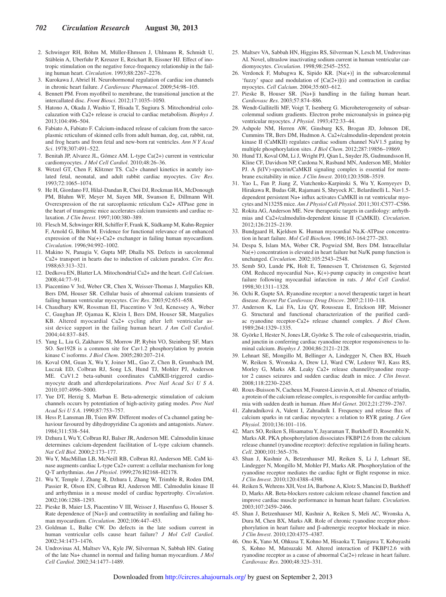- 2. Schwinger RH, Böhm M, Müller-Ehmsen J, Uhlmann R, Schmidt U, Stäblein A, Uberfuhr P, Kreuzer E, Reichart B, Eissner HJ. Effect of inotropic stimulation on the negative force-frequency relationship in the failing human heart. *Circulation*. 1993;88:2267–2276.
- 3. Kurokawa J, Abriel H. Neurohormonal regulation of cardiac ion channels in chronic heart failure. *J Cardiovasc Pharmacol*. 2009;54:98–105.
- 4. Bennett PM. From myofibril to membrane, the transitional junction at the intercallated disc. *Front Biosci*. 2012;17:1035–1050.
- 5. Hatono A, Okada J, Washio T, Hisada T, Sugiura S. Mitochondrial colocalazation with Ca2+ release is crucial to cardiac metabolism. *Biophys J*. 2013;104:496–504.
- 6. Fabiato A, Fabiato F. Calcium-induced release of calcium from the sarcoplasmic reticulum of skinned cells from adult human, dog, cat, rabbit, rat, and frog hearts and from fetal and new-born rat ventricles. *Ann N Y Acad Sci*. 1978;307:491–522.
- 7. Benitah JP, Alvarez JL, Gómez AM. L-type Ca(2+) current in ventricular cardiomyocytes. *J Mol Cell Cardiol*. 2010;48:26–36.
- 8. Wetzel GT, Chen F, Klitzner TS. Ca2+ channel kinetics in acutely isolated fetal, neonatal, and adult rabbit cardiac myocytes. *Circ Res*. 1993;72:1065–1074.
- 9. He H, Giordano FJ, Hilal-Dandan R, Choi DJ, Rockman HA, McDonough PM, Bluhm WF, Meyer M, Sayen MR, Swanson E, Dillmann WH. Overexpression of the rat sarcoplasmic reticulum Ca2+ ATPase gene in the heart of transgenic mice accelerates calcium transients and cardiac relaxation. *J Clin Invest*. 1997;100:380–389.
- 10. Flesch M, Schwinger RH, Schiffer F, Frank K, Südkamp M, Kuhn-Regnier F, Arnold G, Böhm M. Evidence for functional relevance of an enhanced expression of the Na(+)-Ca2+ exchanger in failing human myocardium. *Circulation*. 1996;94:992–1002.
- 11. Makino N, Panagia V, Gupta MP, Dhalla NS. Defects in sarcolemmal Ca2+ transport in hearts due to induction of calcium paradox. *Circ Res*. 1988;63:313–321.
- 12. Dedkova EN, Blatter LA. Mitochondrial Ca2+ and the heart. *Cell Calcium*. 2008;44:77–91.
- 13. Piacentino V 3rd, Weber CR, Chen X, Weisser-Thomas J, Margulies KB, Bers DM, Houser SR. Cellular basis of abnormal calcium transients of failing human ventricular myocytes. *Circ Res*. 2003;92:651–658.
- 14. Chaudhary KW, Rossman EI, Piacentino V 3rd, Kenessey A, Weber C, Gaughan JP, Ojamaa K, Klein I, Bers DM, Houser SR, Margulies KB. Altered myocardial Ca2+ cycling after left ventricular assist device support in the failing human heart. *J Am Coll Cardiol*. 2004;44:837–845.
- 15. Yang L, Liu G, Zakharov SI, Morrow JP, Rybin VO, Steinberg SF, Marx SO. Ser1928 is a common site for Cav1.2 phosphorylation by protein kinase C isoforms. *J Biol Chem*. 2005;280:207–214.
- 16. Koval OM, Guan X, Wu Y, Joiner ML, Gao Z, Chen B, Grumbach IM, Luczak ED, Colbran RJ, Song LS, Hund TJ, Mohler PJ, Anderson ME. CaV1.2 beta-subunit coordinates CaMKII-triggered cardiomyocyte death and afterdepolarizations. *Proc Natl Acad Sci U S A*. 2010;107:4996–5000.
- 17. Yue DT, Herzig S, Marban E. Beta-adrenergic stimulation of calcium channels occurs by potentiation of high-activity gating modes. *Proc Natl Acad Sci U S A*. 1990;87:753–757.
- 18. Hess P, Lansman JB, Tsien RW. Different modes of Ca channel gating behaviour favoured by dihydropyridine Ca agonists and antagonists. *Nature*. 1984;311:538–544.
- 19. Dzhura I, Wu Y, Colbran RJ, Balser JR, Anderson ME. Calmodulin kinase determines calcium-dependent facilitation of L-type calcium channels. *Nat Cell Biol*. 2000;2:173–177.
- 20. Wu Y, MacMillan LB, McNeill RB, Colbran RJ, Anderson ME. CaM kinase augments cardiac L-type Ca2+ current: a cellular mechanism for long Q-T arrhythmias. *Am J Physiol*. 1999;276:H2168–H2178.
- 21. Wu Y, Temple J, Zhang R, Dzhura I, Zhang W, Trimble R, Roden DM, Passier R, Olson EN, Colbran RJ, Anderson ME. Calmodulin kinase II and arrhythmias in a mouse model of cardiac hypertrophy. *Circulation*. 2002;106:1288–1293.
- 22. Pieske B, Maier LS, Piacentino V III, Weisser J, Hasenfuss G, Houser S. Rate dependence of [Na+]i and contractility in nonfailing and failing human myocardium. *Circulation*. 2002;106:447–453.
- 23. Goldman L, Balke CW. Do defects in the late sodium current in human ventricular cells cause heart failure? *J Mol Cell Cardiol*. 2002;34:1473–1476.
- 24. Undrovinas AI, Maltsev VA, Kyle JW, Silverman N, Sabbah HN. Gating of the late Na+ channel in normal and failing human myocardium. *J Mol Cell Cardiol*. 2002;34:1477–1489.
- 25. Maltsev VA, Sabbah HN, Higgins RS, Silverman N, Lesch M, Undrovinas AI. Novel, ultraslow inactivating sodium current in human ventricular cardiomyocytes. *Circulation*. 1998;98:2545–2552.
- 26. Verdonck F, Mubagwa K, Sipido KR. [Na(+)] in the subsarcolemmal 'fuzzy' space and modulation of [Ca(2+)](i) and contraction in cardiac myocytes. *Cell Calcium*. 2004;35:603–612.
- 27. Pieske B, Houser SR. [Na+]i handling in the failing human heart. *Cardiovasc Res*. 2003;57:874–886.
- 28. Wendt-Gallitelli MF, Voigt T, Isenberg G. Microheterogeneity of subsarcolemmal sodium gradients. Electron probe microanalysis in guinea-pig ventricular myocytes. *J Physiol*. 1993;472:33–44.
- 29. Ashpole NM, Herren AW, Ginsburg KS, Brogan JD, Johnson DE, Cummins TR, Bers DM, Hudmon A. Ca2+/calmodulin-dependent protein kinase II (CaMKII) regulates cardiac sodium channel NaV1.5 gating by multiple phosphorylation sites. *J Biol Chem*. 2012;287:19856–19869.
- 30. Hund TJ, Koval OM, Li J, Wright PJ, Qian L, Snyder JS, Gudmundsson H, Kline CF, Davidson NP, Cardona N, Rasband MN, Anderson ME, Mohler PJ. A β(IV)-spectrin/CaMKII signaling complex is essential for membrane excitability in mice. *J Clin Invest*. 2010;120:3508–3519.
- 31. Yao L, Fan P, Jiang Z, Viatchenko-Karpinski S, Wu Y, Kornyeyev D, Hirakawa R, Budas GR, Rajamani S, Shryock JC, Belardinelli L. Nav1.5 dependent persistent Na+ influx activates CaMKII in rat ventricular myocytes and N1325S mice. *Am J Physiol Cell Physiol*. 2011;301:C577–C586.
- 32. Rokita AG, Anderson ME. New therapeutic targets in cardiology: arrhythmias and Ca2+/calmodulin-dependent kinase II (CaMKII). *Circulation*. 2012;126:2125–2139.
- 33. Bundgaard H, Kjeldsen K. Human myocardial Na,K-ATPase concentration in heart failure. *Mol Cell Biochem*. 1996;163-164:277–283.
- 34. Despa S, Islam MA, Weber CR, Pogwizd SM, Bers DM. Intracellular Na(+) concentration is elevated in heart failure but Na/K pump function is unchanged. *Circulation*. 2002;105:2543–2548.
- 35. Semb SO, Lunde PK, Holt E, Tønnessen T, Christensen G, Sejersted OM. Reduced myocardial Na+,  $K(+)$ -pump capacity in congestive heart failure following myocardial infarction in rats. *J Mol Cell Cardiol*. 1998;30:1311–1328.
- 36. Ochi R, Gupte SA. Ryanodine receptor: a novel therapeutic target in heart disease. *Recent Pat Cardiovasc Drug Discov*. 2007;2:110–118.
- 37. Anderson K, Lai FA, Liu QY, Rousseau E, Erickson HP, Meissner G. Structural and functional characterization of the purified cardiac ryanodine receptor-Ca2+ release channel complex. *J Biol Chem*. 1989;264:1329–1335.
- 38. Györke I, Hester N, Jones LR, Györke S. The role of calsequestrin, triadin, and junctin in conferring cardiac ryanodine receptor responsiveness to luminal calcium. *Biophys J*. 2004;86:2121–2128.
- 39. Lehnart SE, Mongillo M, Bellinger A, Lindegger N, Chen BX, Hsueh W, Reiken S, Wronska A, Drew LJ, Ward CW, Lederer WJ, Kass RS, Morley G, Marks AR. Leaky Ca2+ release channel/ryanodine receptor 2 causes seizures and sudden cardiac death in mice. *J Clin Invest*. 2008;118:2230–2245.
- 40. Roux-Buisson N, Cacheux M, Fourest-Lieuvin A, et al. Absence of triadin, a protein of the calcium release complex, is responsible for cardiac arrhythmia with sudden death in human. *Hum Mol Genet*. 2012;21:2759–2767.
- 41. Zahradníková A, Valent I, Zahradník I. Frequency and release flux of calcium sparks in rat cardiac myocytes: a relation to RYR gating. *J Gen Physiol*. 2010;136:101–116.
- 42. Marx SO, Reiken S, Hisamatsu Y, Jayaraman T, Burkhoff D, Rosemblit N, Marks AR. PKA phosphorylation dissociates FKBP12.6 from the calcium release channel (ryanodine receptor): defective regulation in failing hearts. *Cell*. 2000;101:365–376.
- 43. Shan J, Kushnir A, Betzenhauser MJ, Reiken S, Li J, Lehnart SE, Lindegger N, Mongillo M, Mohler PJ, Marks AR. Phosphorylation of the ryanodine receptor mediates the cardiac fight or flight response in mice. *J Clin Invest*. 2010;120:4388–4398.
- 44. Reiken S, Wehrens XH, Vest JA, Barbone A, Klotz S, Mancini D, Burkhoff D, Marks AR. Beta-blockers restore calcium release channel function and improve cardiac muscle performance in human heart failure. *Circulation*. 2003;107:2459–2466.
- 45. Shan J, Betzenhauser MJ, Kushnir A, Reiken S, Meli AC, Wronska A, Dura M, Chen BX, Marks AR. Role of chronic ryanodine receptor phosphorylation in heart failure and β-adrenergic receptor blockade in mice. *J Clin Invest*. 2010;120:4375–4387.
- 46. Ono K, Yano M, Ohkusa T, Kohno M, Hisaoka T, Tanigawa T, Kobayashi S, Kohno M, Matsuzaki M. Altered interaction of FKBP12.6 with ryanodine receptor as a cause of abnormal Ca(2+) release in heart failure. *Cardiovasc Res*. 2000;48:323–331.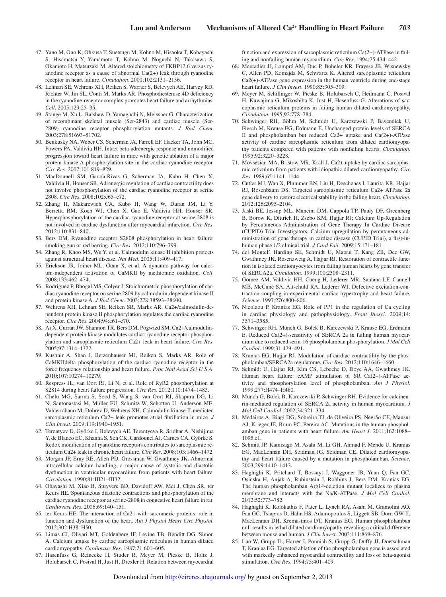- 47. Yano M, Ono K, Ohkusa T, Suetsugu M, Kohno M, Hisaoka T, Kobayashi S, Hisamatsu Y, Yamamoto T, Kohno M, Noguchi N, Takasawa S, Okamoto H, Matsuzaki M. Altered stoichiometry of FKBP12.6 versus ryanodine receptor as a cause of abnormal Ca(2+) leak through ryanodine receptor in heart failure. *Circulation*. 2000;102:2131–2136.
- 48. Lehnart SE, Wehrens XH, Reiken S, Warrier S, Belevych AE, Harvey RD, Richter W, Jin SL, Conti M, Marks AR. Phosphodiesterase 4D deficiency in the ryanodine-receptor complex promotes heart failure and arrhythmias. *Cell*. 2005;123:25–35.
- 49. Stange M, Xu L, Balshaw D, Yamaguchi N, Meissner G. Characterization of recombinant skeletal muscle (Ser-2843) and cardiac muscle (Ser-2809) ryanodine receptor phosphorylation mutants. *J Biol Chem*. 2003;278:51693–51702.
- 50. Benkusky NA, Weber CS, Scherman JA, Farrell EF, Hacker TA, John MC, Powers PA, Valdivia HH. Intact beta-adrenergic response and unmodified progression toward heart failure in mice with genetic ablation of a major protein kinase A phosphorylation site in the cardiac ryanodine receptor. *Circ Res*. 2007;101:819–829.
- 51. MacDonnell SM, García-Rivas G, Scherman JA, Kubo H, Chen X, Valdivia H, Houser SR. Adrenergic regulation of cardiac contractility does not involve phosphorylation of the cardiac ryanodine receptor at serine 2808. *Circ Res*. 2008;102:e65–e72.
- 52. Zhang H, Makarewich CA, Kubo H, Wang W, Duran JM, Li Y, Berretta RM, Koch WJ, Chen X, Gao E, Valdivia HH, Houser SR. Hyperphosphorylation of the cardiac ryanodine receptor at serine 2808 is not involved in cardiac dysfunction after myocardial infarction. *Circ Res*. 2012;110:831–840.
- 53. Bers DM. Ryanodine receptor S2808 phosphorylation in heart failure: smoking gun or red herring. *Circ Res*. 2012;110:796–799.
- 54. Zhang R, Khoo MS, Wu Y, et al. Calmodulin kinase II inhibition protects against structural heart disease. *Nat Med*. 2005;11:409–417.
- 55. Erickson JR, Joiner ML, Guan X, et al. A dynamic pathway for calcium-independent activation of CaMKII by methionine oxidation. *Cell*. 2008;133:462–474.
- 56. Rodriguez P, Bhogal MS, Colyer J. Stoichiometric phosphorylation of cardiac ryanodine receptor on serine 2809 by calmodulin-dependent kinase II and protein kinase A. *J Biol Chem*. 2003;278:38593–38600.
- 57. Wehrens XH, Lehnart SE, Reiken SR, Marks AR. Ca2+/calmodulin-dependent protein kinase II phosphorylation regulates the cardiac ryanodine receptor. *Circ Res*. 2004;94:e61–e70.
- 58. Ai X, Curran JW, Shannon TR, Bers DM, Pogwizd SM. Ca2+/calmodulindependent protein kinase modulates cardiac ryanodine receptor phosphorylation and sarcoplasmic reticulum Ca2+ leak in heart failure. *Circ Res*. 2005;97:1314–1322.
- 59. Kushnir A, Shan J, Betzenhauser MJ, Reiken S, Marks AR. Role of CaMKIIdelta phosphorylation of the cardiac ryanodine receptor in the force frequency relationship and heart failure. *Proc Natl Acad Sci U S A*. 2010;107:10274–10279.
- 60. Respress JL, van Oort RJ, Li N, et al. Role of RyR2 phosphorylation at S2814 during heart failure progression. *Circ Res*. 2012;110:1474–1483.
- 61. Chelu MG, Sarma S, Sood S, Wang S, van Oort RJ, Skapura DG, Li N, Santonastasi M, Müller FU, Schmitz W, Schotten U, Anderson ME, Valderrábano M, Dobrev D, Wehrens XH. Calmodulin kinase II-mediated sarcoplasmic reticulum Ca2+ leak promotes atrial fibrillation in mice. *J Clin Invest*. 2009;119:1940–1951.
- 62. Terentyev D, Györke I, Belevych AE, Terentyeva R, Sridhar A, Nishijima Y, de Blanco EC, Khanna S, Sen CK, Cardounel AJ, Carnes CA, Györke S. Redox modification of ryanodine receptors contributes to sarcoplasmic reticulum Ca2+ leak in chronic heart failure. *Circ Res*. 2008;103:1466–1472.
- 63. Morgan JP, Erny RE, Allen PD, Grossman W, Gwathmey JK. Abnormal intracellular calcium handling, a major cause of systolic and diastolic dysfunction in ventricular myocardium from patients with heart failure. *Circulation*. 1990;81:III21–III32.
- 64. Obayashi M, Xiao B, Stuyvers BD, Davidoff AW, Mei J, Chen SR, ter Keurs HE. Spontaneous diastolic contractions and phosphorylation of the cardiac ryanodine receptor at serine-2808 in congestive heart failure in rat. *Cardiovasc Res*. 2006;69:140–151.
- 65. ter Keurs HE. The interaction of Ca2+ with sarcomeric proteins: role in function and dysfunction of the heart. *Am J Physiol Heart Circ Physiol*. 2012;302:H38–H50.
- 66. Limas CJ, Olivari MT, Goldenberg IF, Levine TB, Benditt DG, Simon A. Calcium uptake by cardiac sarcoplasmic reticulum in human dilated cardiomyopathy. *Cardiovasc Res*. 1987;21:601–605.
- 67. Hasenfuss G, Reinecke H, Studer R, Meyer M, Pieske B, Holtz J, Holubarsch C, Posival H, Just H, Drexler H. Relation between myocardial

function and expression of sarcoplasmic reticulum Ca(2+)-ATPase in failing and nonfailing human myocardium. *Circ Res*. 1994;75:434–442.

- 68. Mercadier JJ, Lompré AM, Duc P, Boheler KR, Fraysse JB, Wisnewsky C, Allen PD, Komajda M, Schwartz K. Altered sarcoplasmic reticulum Ca2(+)-ATPase gene expression in the human ventricle during end-stage heart failure. *J Clin Invest*. 1990;85:305–309.
- 69. Meyer M, Schillinger W, Pieske B, Holubarsch C, Heilmann C, Posival H, Kuwajima G, Mikoshiba K, Just H, Hasenfuss G. Alterations of sarcoplasmic reticulum proteins in failing human dilated cardiomyopathy. *Circulation*. 1995;92:778–784.
- 70. Schwinger RH, Böhm M, Schmidt U, Karczewski P, Bavendiek U, Flesch M, Krause EG, Erdmann E. Unchanged protein levels of SERCA II and phospholamban but reduced Ca2+ uptake and Ca(2+)-ATPase activity of cardiac sarcoplasmic reticulum from dilated cardiomyopathy patients compared with patients with nonfailing hearts. *Circulation*. 1995;92:3220–3228.
- 71. Movsesian MA, Bristow MR, Krall J. Ca2+ uptake by cardiac sarcoplasmic reticulum from patients with idiopathic dilated cardiomyopathy. *Circ Res*. 1989;65:1141–1144.
- 72. Cutler MJ, Wan X, Plummer BN, Liu H, Deschenes I, Laurita KR, Hajjar RJ, Rosenbaum DS. Targeted sarcoplasmic reticulum Ca2+ ATPase 2a gene delivery to restore electrical stability in the failing heart. *Circulation*. 2012;126:2095–2104.
- 73. Jaski BE, Jessup ML, Mancini DM, Cappola TP, Pauly DF, Greenberg B, Borow K, Dittrich H, Zsebo KM, Hajjar RJ; Calcium Up-Regulation by Percutaneous Administration of Gene Therapy In Cardiac Disease (CUPID) Trial Investigators. Calcium upregulation by percutaneous administration of gene therapy in cardiac disease (CUPID Trial), a first-inhuman phase 1/2 clinical trial. *J Card Fail*. 2009;15:171–181.
- 74. del MonteF, Harding SE, Schmidt U, Matsui T, Kang ZB, Dec GW, Gwathmey JK, Rosenzweig A, Hajjar RJ. Restoration of contractile function in isolated cardiomyocytes from failing human hearts by gene transfer of SERCA2a. *Circulation*. 1999;100:2308–2311.
- 75. Gómez AM, Valdivia HH, Cheng H, Lederer MR, Santana LF, Cannell MB, McCune SA, Altschuld RA, Lederer WJ. Defective excitation-contraction coupling in experimental cardiac hypertrophy and heart failure. *Science*. 1997;276:800–806.
- 76. Nicolaou P, Kranias EG. Role of PP1 in the regulation of Ca cycling in cardiac physiology and pathophysiology. *Front Biosci*. 2009;14: 3571–3585.
- 77. Schwinger RH, Münch G, Bölck B, Karczewski P, Krause EG, Erdmann E. Reduced Ca(2+)-sensitivity of SERCA 2a in failing human myocardium due to reduced serin-16 phospholamban phosphorylation. *J Mol Cell Cardiol*. 1999;31:479–491.
- 78. Kranias EG, Hajjar RJ. Modulation of cardiac contractility by the phospholamban/SERCA2a regulatome. *Circ Res*. 2012;110:1646–1660.
- 79. Schmidt U, Hajjar RJ, Kim CS, Lebeche D, Doye AA, Gwathmey JK. Human heart failure: cAMP stimulation of SR Ca(2+)-ATPase activity and phosphorylation level of phospholamban. *Am J Physiol*. 1999;277:H474–H480.
- 80. Münch G, Bölck B, Karczewski P, Schwinger RH. Evidence for calcineurin-mediated regulation of SERCA 2a activity in human myocardium. *J Mol Cell Cardiol*. 2002;34:321–334.
- 81. Medeiros A, Biagi DG, Sobreira TJ, de Oliveira PS, Negrão CE, Mansur AJ, Krieger JE, Brum PC, Pereira AC. Mutations in the human phospholamban gene in patients with heart failure. *Am Heart J*. 2011;162:1088– 1095.e1.
- 82. Schmitt JP, Kamisago M, Asahi M, Li GH, Ahmad F, Mende U, Kranias EG, MacLennan DH, Seidman JG, Seidman CE. Dilated cardiomyopathy and heart failure caused by a mutation in phospholamban. *Science*. 2003;299:1410–1413.
- 83. Haghighi K, Pritchard T, Bossuyt J, Waggoner JR, Yuan Q, Fan GC, Osinska H, Anjak A, Rubinstein J, Robbins J, Bers DM, Kranias EG. The human phospholamban Arg14-deletion mutant localizes to plasma membrane and interacts with the Na/K-ATPase. *J Mol Cell Cardiol*. 2012;52:773–782.
- 84. Haghighi K, Kolokathis F, Pater L, Lynch RA, Asahi M, Gramolini AO, Fan GC, Tsiapras D, Hahn HS, Adamopoulos S, Liggett SB, Dorn GW II, MacLennan DH, Kremastinos DT, Kranias EG. Human phospholamban null results in lethal dilated cardiomyopathy revealing a critical difference between mouse and human. *J Clin Invest*. 2003;111:869–876.
- 85. Luo W, Grupp IL, Harrer J, Ponniah S, Grupp G, Duffy JJ, Doetschman T, Kranias EG. Targeted ablation of the phospholamban gene is associated with markedly enhanced myocardial contractility and loss of beta-agonist stimulation. *Circ Res*. 1994;75:401–409.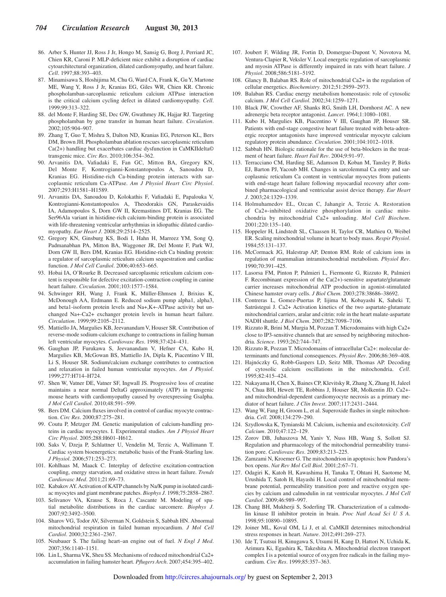- 86. Arber S, Hunter JJ, Ross J Jr, Hongo M, Sansig G, Borg J, Perriard JC, Chien KR, Caroni P. MLP-deficient mice exhibit a disruption of cardiac cytoarchitectural organization, dilated cardiomyopathy, and heart failure. *Cell*. 1997;88:393–403.
- 87. Minamisawa S, Hoshijima M, Chu G, Ward CA, Frank K, Gu Y, Martone ME, Wang Y, Ross J Jr, Kranias EG, Giles WR, Chien KR. Chronic phospholamban-sarcoplasmic reticulum calcium ATPase interaction is the critical calcium cycling defect in dilated cardiomyopathy. *Cell*. 1999;99:313–322.
- 88. del Monte F, Harding SE, Dec GW, Gwathmey JK, Hajjar RJ. Targeting phospholamban by gene transfer in human heart failure. *Circulation*. 2002;105:904–907.
- 89. Zhang T, Guo T, Mishra S, Dalton ND, Kranias EG, Peterson KL, Bers DM, Brown JH. Phospholamban ablation rescues sarcoplasmic reticulum Ca(2+) handling but exacerbates cardiac dysfunction in CaMKIIdelta© transgenic mice. *Circ Res*. 2010;106:354–362.
- 90. Arvanitis DA, Vafiadaki E, Fan GC, Mitton BA, Gregory KN, Del Monte F, Kontrogianni-Konstantopoulos A, Sanoudou D, Kranias EG. Histidine-rich Ca-binding protein interacts with sarcoplasmic reticulum Ca-ATPase. *Am J Physiol Heart Circ Physiol*. 2007;293:H1581–H1589.
- 91. Arvanitis DA, Sanoudou D, Kolokathis F, Vafiadaki E, Papalouka V, Kontrogianni-Konstantopoulos A, Theodorakis GN, Paraskevaidis IA, Adamopoulos S, Dorn GW II, Kremastinos DT, Kranias EG. The Ser96Ala variant in histidine-rich calcium-binding protein is associated with life-threatening ventricular arrhythmias in idiopathic dilated cardiomyopathy. *Eur Heart J*. 2008;29:2514–2525.
- 92. Gregory KN, Ginsburg KS, Bodi I, Hahn H, Marreez YM, Song Q, Padmanabhan PA, Mitton BA, Waggoner JR, Del Monte F, Park WJ, Dorn GW II, Bers DM, Kranias EG. Histidine-rich Ca binding protein: a regulator of sarcoplasmic reticulum calcium sequestration and cardiac function. *J Mol Cell Cardiol*. 2006;40:653–665.
- 93. Hobai IA, O'Rourke B. Decreased sarcoplasmic reticulum calcium content is responsible for defective excitation-contraction coupling in canine heart failure. *Circulation*. 2001;103:1577–1584.
- 94. Schwinger RH, Wang J, Frank K, Müller-Ehmsen J, Brixius K, McDonough AA, Erdmann E. Reduced sodium pump alpha1, alpha3, and beta1-isoform protein levels and Na+,K+-ATPase activity but unchanged Na+-Ca2+ exchanger protein levels in human heart failure. *Circulation*. 1999;99:2105–2112.
- 95. Mattiello JA, Margulies KB, Jeevanandam V, Houser SR. Contribution of reverse-mode sodium-calcium exchange to contractions in failing human left ventricular myocytes. *Cardiovasc Res*. 1998;37:424–431.
- 96. Gaughan JP, Furukawa S, Jeevanandam V, Hefner CA, Kubo H, Margulies KB, McGowan BS, Mattiello JA, Dipla K, Piacentino V III, Li S, Houser SR. Sodium/calcium exchange contributes to contraction and relaxation in failed human ventricular myocytes. *Am J Physiol*. 1999;277:H714–H724.
- 97. Shen W, Vatner DE, Vatner SF, Ingwall JS. Progressive loss of creatine maintains a near normal DeltaG approximately (ATP) in transgenic mouse hearts with cardiomyopathy caused by overexpressing Gsalpha. *J Mol Cell Cardiol*. 2010;48:591–599.
- 98. Bers DM. Calcium fluxes involved in control of cardiac myocyte contraction. *Circ Res*. 2000;87:275–281.
- 99. Coutu P, Metzger JM. Genetic manipulation of calcium-handling proteins in cardiac myocytes. I. Experimental studies. *Am J Physiol Heart Circ Physiol*. 2005;288:H601–H612.
- 100. Saks V, Dzeja P, Schlattner U, Vendelin M, Terzic A, Wallimann T. Cardiac system bioenergetics: metabolic basis of the Frank-Starling law. *J Physiol*. 2006;571:253–273.
- 101. Kohlhaas M, Maack C. Interplay of defective excitation-contraction coupling, energy starvation, and oxidative stress in heart failure. *Trends Cardiovasc Med*. 2011;21:69–73.
- 102. Kabakov AY. Activation of KATP channels by Na/K pump in isolated cardiac myocytes and giant membrane patches. *Biophys J*. 1998;75:2858–2867.
- 103. Selivanov VA, Krause S, Roca J, Cascante M. Modeling of spatial metabolite distributions in the cardiac sarcomere. *Biophys J*. 2007;92:3492–3500.
- 104. Sharov VG, Todor AV, Silverman N, Goldstein S, Sabbah HN. Abnormal mitochondrial respiration in failed human myocardium. *J Mol Cell Cardiol*. 2000;32:2361–2367.
- 105. Neubauer S. The failing heart–an engine out of fuel. *N Engl J Med*. 2007;356:1140–1151.
- 106. Lin L, Sharma VK, Sheu SS. Mechanisms of reduced mitochondrial Ca2+ accumulation in failing hamster heart. *Pflugers Arch*. 2007;454:395–402.
- 107. Joubert F, Wilding JR, Fortin D, Domergue-Dupont V, Novotova M, Ventura-Clapier R, Veksler V. Local energetic regulation of sarcoplasmic and myosin ATPase is differently impaired in rats with heart failure. *J Physiol*. 2008;586:5181–5192.
- 108. Glancy B, Balaban RS. Role of mitochondrial Ca2+ in the regulation of cellular energetics. *Biochemistry*. 2012;51:2959–2973.
- 109. Balaban RS. Cardiac energy metabolism homeostasis: role of cytosolic calcium. *J Mol Cell Cardiol*. 2002;34:1259–1271.
- 110. Black JW, Crowther AF, Shanks RG, Smith LH, Dornhorst AC. A new adrenergic beta receptor antagonist. *Lancet*. 1964;1:1080–1081.
- 111. Kubo H, Margulies KB, Piacentino V III, Gaughan JP, Houser SR. Patients with end-stage congestive heart failure treated with beta-adrenergic receptor antagonists have improved ventricular myocyte calcium regulatory protein abundance. *Circulation*. 2001;104:1012–1018.
- 112. Sabbah HN. Biologic rationale for the use of beta-blockers in the treatment of heart failure. *Heart Fail Rev*. 2004;9:91–97.
- 113. Terracciano CM, Harding SE, Adamson D, Koban M, Tansley P, Birks EJ, Barton PJ, Yacoub MH. Changes in sarcolemmal Ca entry and sarcoplasmic reticulum Ca content in ventricular myocytes from patients with end-stage heart failure following myocardial recovery after combined pharmacological and ventricular assist device therapy. *Eur Heart J*. 2003;24:1329–1339.
- 114. Holmuhamedov EL, Ozcan C, Jahangir A, Terzic A. Restoration of Ca2+-inhibited oxidative phosphorylation in cardiac mitochondria by mitochondrial Ca2+ unloading. *Mol Cell Biochem*. 2001;220:135–140.
- 115. Hoppeler H, Lindstedt SL, Claassen H, Taylor CR, Mathieu O, Weibel ER. Scaling mitochondrial volume in heart to body mass. *Respir Physiol*. 1984;55:131–137.
- 116. McCormack JG, Halestrap AP, Denton RM. Role of calcium ions in regulation of mammalian intramitochondrial metabolism. *Physiol Rev*. 1990;70:391–425.
- 117. Lasorsa FM, Pinton P, Palmieri L, Fiermonte G, Rizzuto R, Palmieri F. Recombinant expression of the Ca(2+)-sensitive aspartate/glutamate carrier increases mitochondrial ATP production in agonist-stimulated Chinese hamster ovary cells. *J Biol Chem*. 2003;278:38686–38692.
- 118. Contreras L, Gomez-Puertas P, Iijima M, Kobayashi K, Saheki T, Satrústegui J. Ca2+ Activation kinetics of the two aspartate-glutamate mitochondrial carriers, aralar and citrin: role in the heart malate-aspartate NADH shuttle. *J Biol Chem*. 2007;282:7098–7106.
- 119. Rizzuto R, Brini M, Murgia M, Pozzan T. Microdomains with high Ca2+ close to IP3-sensitive channels that are sensed by neighboring mitochondria. *Science*. 1993;262:744–747.
- 120. Rizzuto R, Pozzan T. Microdomains of intracellular Ca2+: molecular determinants and functional consequences. *Physiol Rev*. 2006;86:369–408.
- 121. Hajnóczky G, Robb-Gaspers LD, Seitz MB, Thomas AP. Decoding of cytosolic calcium oscillations in the mitochondria. *Cell*. 1995;82:415–424.
- 122. Nakayama H, Chen X, Baines CP, Klevitsky R, Zhang X, Zhang H, Jaleel N, Chua BH, Hewett TE, Robbins J, Houser SR, Molkentin JD. Ca2+ and mitochondrial-dependent cardiomyocyte necrosis as a primary mediator of heart failure. *J Clin Invest*. 2007;117:2431–2444.
- 123. Wang W, Fang H, Groom L, et al. Superoxide flashes in single mitochondria. *Cell*. 2008;134:279–290.
- 124. Szydlowska K, Tymianski M. Calcium, ischemia and excitotoxicity. *Cell Calcium*. 2010;47:122–129.
- 125. Zorov DB, Juhaszova M, Yaniv Y, Nuss HB, Wang S, Sollott SJ. Regulation and pharmacology of the mitochondrial permeability transition pore. *Cardiovasc Res*. 2009;83:213–225.
- 126. Zamzami N, Kroemer G. The mitochondrion in apoptosis: how Pandora's box opens. *Nat Rev Mol Cell Biol*. 2001;2:67–71.
- 127. Odagiri K, Katoh H, Kawashima H, Tanaka T, Ohtani H, Saotome M, Urushida T, Satoh H, Hayashi H. Local control of mitochondrial membrane potential, permeability transition pore and reactive oxygen species by calcium and calmodulin in rat ventricular myocytes. *J Mol Cell Cardiol*. 2009;46:989–997.
- 128. Chang BH, Mukherji S, Soderling TR. Characterization of a calmodulin kinase II inhibitor protein in brain. *Proc Natl Acad Sci U S A*. 1998;95:10890–10895.
- 129. Joiner ML, Koval OM, Li J, et al. CaMKII determines mitochondrial stress responses in heart. *Nature*. 2012;491:269–273.
- 130. Ide T, Tsutsui H, Kinugawa S, Utsumi H, Kang D, Hattori N, Uchida K, Arimura Ki, Egashira K, Takeshita A. Mitochondrial electron transport complex I is a potential source of oxygen free radicals in the failing myocardium. *Circ Res*. 1999;85:357–363.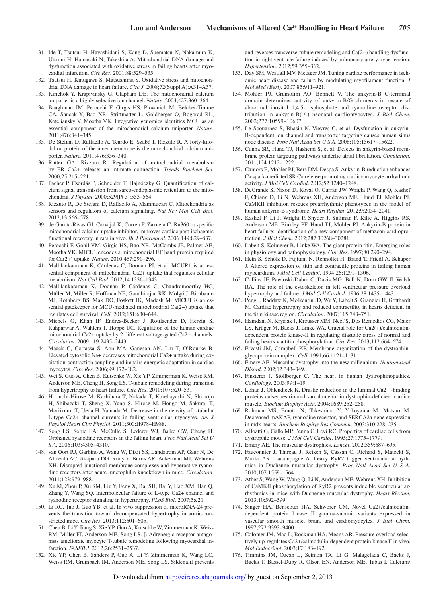- 131. Ide T, Tsutsui H, Hayashidani S, Kang D, Suematsu N, Nakamura K, Utsumi H, Hamasaki N, Takeshita A. Mitochondrial DNA damage and dysfunction associated with oxidative stress in failing hearts after myocardial infarction. *Circ Res*. 2001;88:529–535.
- 132. Tsutsui H, Kinugawa S, Matsushima S. Oxidative stress and mitochondrial DNA damage in heart failure. *Circ J*. 2008;72(Suppl A):A31–A37.
- 133. Kirichok Y, Krapivinsky G, Clapham DE. The mitochondrial calcium uniporter is a highly selective ion channel. *Nature*. 2004;427:360–364.
- 134. Baughman JM, Perocchi F, Girgis HS, Plovanich M, Belcher-Timme CA, Sancak Y, Bao XR, Strittmatter L, Goldberger O, Bogorad RL, Koteliansky V, Mootha VK. Integrative genomics identifies MCU as an essential component of the mitochondrial calcium uniporter. *Nature*. 2011;476:341–345.
- 135. De Stefani D, Raffaello A, Teardo E, Szabò I, Rizzuto R. A forty-kilodalton protein of the inner membrane is the mitochondrial calcium uniporter. *Nature*. 2011;476:336–340.
- 136. Rutter GA, Rizzuto R. Regulation of mitochondrial metabolism by ER Ca2+ release: an intimate connection. *Trends Biochem Sci*. 2000;25:215–221.
- 137. Pacher P, Csordás P, Schneider T, Hajnóczky G. Quantification of calcium signal transmission from sarco-endoplasmic reticulum to the mitochondria. *J Physiol*. 2000;529(Pt 3):553–564.
- 138. Rizzuto R, De Stefani D, Raffaello A, Mammucari C. Mitochondria as sensors and regulators of calcium signalling. *Nat Rev Mol Cell Biol*. 2012;13:566–578.
- 139. de García-Rivas GJ, Carvajal K, Correa F, Zazueta C. Ru360, a specific mitochondrial calcium uptake inhibitor, improves cardiac post-ischaemic functional recovery in rats in vivo. *Br J Pharmacol*. 2006;149:829–837.
- 140. Perocchi F, Gohil VM, Girgis HS, Bao XR, McCombs JE, Palmer AE, Mootha VK. MICU1 encodes a mitochondrial EF hand protein required for Ca(2+) uptake. *Nature*. 2010;467:291–296.
- 141. Mallilankaraman K, Cárdenas C, Doonan PJ, et al. MCUR1 is an essential component of mitochondrial Ca2+ uptake that regulates cellular metabolism. *Nat Cell Biol*. 2012;14:1336–1343.
- 142. Mallilankaraman K, Doonan P, Cárdenas C, Chandramoorthy HC, Müller M, Miller R, Hoffman NE, Gandhirajan RK, Molgó J, Birnbaum MJ, Rothberg BS, Mak DO, Foskett JK, Madesh M. MICU1 is an essential gatekeeper for MCU-mediated mitochondrial Ca(2+) uptake that regulates cell survival. *Cell*. 2012;151:630–644.
- 143. Michels G, Khan IF, Endres-Becker J, Rottlaender D, Herzig S, Ruhparwar A, Wahlers T, Hoppe UC. Regulation of the human cardiac mitochondrial Ca2+ uptake by 2 different voltage-gated Ca2+ channels. *Circulation*. 2009;119:2435–2443.
- 144. Maack C, Cortassa S, Aon MA, Ganesan AN, Liu T, O'Rourke B. Elevated cytosolic Na+ decreases mitochondrial Ca2+ uptake during excitation-contraction coupling and impairs energetic adaptation in cardiac myocytes. *Circ Res*. 2006;99:172–182.
- 145. Wei S, Guo A, Chen B, Kutschke W, Xie YP, Zimmerman K, Weiss RM, Anderson ME, Cheng H, Song LS. T-tubule remodeling during transition from hypertrophy to heart failure. *Circ Res*. 2010;107:520–531.
- 146. Horiuchi-Hirose M, Kashihara T, Nakada T, Kurebayashi N, Shimojo H, Shibazaki T, Sheng X, Yano S, Hirose M, Hongo M, Sakurai T, Moriizumi T, Ueda H, Yamada M. Decrease in the density of t-tubular L-type Ca2+ channel currents in failing ventricular myocytes. *Am J Physiol Heart Circ Physiol*. 2011;300:H978–H988.
- 147. Song LS, Sobie EA, McCulle S, Lederer WJ, Balke CW, Cheng H. Orphaned ryanodine receptors in the failing heart. *Proc Natl Acad Sci U S A*. 2006;103:4305–4310.
- 148. van Oort RJ, Garbino A, Wang W, Dixit SS, Landstrom AP, Gaur N, De Almeida AC, Skapura DG, Rudy Y, Burns AR, Ackerman MJ, Wehrens XH. Disrupted junctional membrane complexes and hyperactive ryanodine receptors after acute junctophilin knockdown in mice. *Circulation*. 2011;123:979–988.
- 149. Xu M, Zhou P, Xu SM, Liu Y, Feng X, Bai SH, Bai Y, Hao XM, Han Q, Zhang Y, Wang SQ. Intermolecular failure of L-type Ca2+ channel and ryanodine receptor signaling in hypertrophy. *PLoS Biol*. 2007;5:e21.
- 150. Li RC, Tao J, Guo YB, et al. In vivo suppression of microRNA-24 prevents the transition toward decompensated hypertrophy in aortic-constricted mice. *Circ Res*. 2013;112:601–605.
- 151. Chen B, Li Y, Jiang S, Xie YP, Guo A, Kutschke W, Zimmerman K, Weiss RM, Miller FJ, Anderson ME, Song LS. β-Adrenergic receptor antagonists ameliorate myocyte T-tubule remodeling following myocardial infarction. *FASEB J*. 2012;26:2531–2537.
- 152. Xie YP, Chen B, Sanders P, Guo A, Li Y, Zimmerman K, Wang LC, Weiss RM, Grumbach IM, Anderson ME, Song LS. Sildenafil prevents

and reverses transverse-tubule remodeling and Ca(2+) handling dysfunction in right ventricle failure induced by pulmonary artery hypertension. *Hypertension*. 2012;59:355–362.

- 153. Day SM, Westfall MV, Metzger JM. Tuning cardiac performance in ischemic heart disease and failure by modulating myofilament function. *J Mol Med (Berl)*. 2007;85:911–921.
- 154. Mohler PJ, Gramolini AO, Bennett V. The ankyrin-B C-terminal domain determines activity of ankyrin-B/G chimeras in rescue of abnormal inositol 1,4,5-trisphosphate and ryanodine receptor distribution in ankyrin-B(-/-) neonatal cardiomyocytes. *J Biol Chem*. 2002;277:10599–10607.
- 155. Le Scouarnec S, Bhasin N, Vieyres C, et al. Dysfunction in ankyrin-B-dependent ion channel and transporter targeting causes human sinus node disease. *Proc Natl Acad Sci U S A*. 2008;105:15617–15622.
- 156. Cunha SR, Hund TJ, Hashemi S, et al. Defects in ankyrin-based membrane protein targeting pathways underlie atrial fibrillation. *Circulation*. 2011;124:1212–1222.
- 157. Camors E, Mohler PJ, Bers DM, Despa S. Ankyrin-B reduction enhances Ca spark-mediated SR Ca release promoting cardiac myocyte arrhythmic activity. *J Mol Cell Cardiol*. 2012;52:1240–1248.
- 158. DeGrande S, Nixon D, Koval O, Curran JW, Wright P, Wang Q, Kashef F, Chiang D, Li N, Wehrens XH, Anderson ME, Hund TJ, Mohler PJ. CaMKII inhibition rescues proarrhythmic phenotypes in the model of human ankyrin-B syndrome. *Heart Rhythm*. 2012;9:2034–2041.
- 159. Kashef F, Li J, Wright P, Snyder J, Suliman F, Kilic A, Higgins RS, Anderson ME, Binkley PF, Hund TJ, Mohler PJ. Ankyrin-B protein in heart failure: identification of a new component of metazoan cardioprotection. *J Biol Chem*. 2012;287:30268–30281.
- 160. Labeit S, Kolmerer B, Linke WA. The giant protein titin. Emerging roles in physiology and pathophysiology. *Circ Res*. 1997;80:290–294.
- 161. Hein S, Scholz D, Fujitani N, Rennollet H, Brand T, Friedl A, Schaper J. Altered expression of titin and contractile proteins in failing human myocardium. *J Mol Cell Cardiol*. 1994;26:1291–1306.
- 162. Collins JF, Pawloski-Dahm C, Davis MG, Ball N, Dorn GW II, Walsh RA. The role of the cytoskeleton in left ventricular pressure overload hypertrophy and failure. *J Mol Cell Cardiol*. 1996;28:1435–1443.
- 163. Peng J, Raddatz K, Molkentin JD, Wu Y, Labeit S, Granzier H, Gotthardt M. Cardiac hypertrophy and reduced contractility in hearts deficient in the titin kinase region. *Circulation*. 2007;115:743–751.
- 164. Hamdani N, Krysiak J, Kreusser MM, Neef S, Dos Remedios CG, Maier LS, Krüger M, Backs J, Linke WA. Crucial role for Ca2(+)/calmodulindependent protein kinase-II in regulating diastolic stress of normal and failing hearts via titin phosphorylation. *Circ Res*. 2013;112:664–674.
- 165. Ervasti JM, Campbell KP. Membrane organization of the dystrophinglycoprotein complex. *Cell*. 1991;66:1121–1131.
- 166. Emery AE. Muscular dystrophy into the new millennium. *Neuromuscul Disord*. 2002;12:343–349.
- 167. Finsterer J, Stöllberger C. The heart in human dystrophinopathies. *Cardiology*. 2003;99:1–19.
- 168. Lohan J, Ohlendieck K. Drastic reduction in the luminal Ca2+ -binding proteins calsequestrin and sarcalumenin in dystrophin-deficient cardiac muscle. *Biochim Biophys Acta*. 2004;1689:252–258.
- 169. Rohman MS, Emoto N, Takeshima Y, Yokoyama M, Matsuo M. Decreased mAKAP, ryanodine receptor, and SERCA2a gene expression in mdx hearts. *Biochem Biophys Res Commun*. 2003;310:228–235.
- 170. Alloatti G, Gallo MP, Penna C, Levi RC. Properties of cardiac cells from dystrophic mouse. *J Mol Cell Cardiol*. 1995;27:1775–1779.
- 171. Emery AE. The muscular dystrophies. *Lancet*. 2002;359:687–695.
- 172. Fauconnier J, Thireau J, Reiken S, Cassan C, Richard S, Matecki S, Marks AR, Lacampagne A. Leaky RyR2 trigger ventricular arrhythmias in Duchenne muscular dystrophy. *Proc Natl Acad Sci U S A*. 2010;107:1559–1564.
- 173. Ather S, Wang W, Wang Q, Li N, Anderson ME, Wehrens XH. Inhibition of CaMKII phosphorylation of RyR2 prevents inducible ventricular arrhythmias in mice with Duchenne muscular dystrophy. *Heart Rhythm*.  $2013:10:592 - 599$
- 174. Singer HA, Benscoter HA, Schworer CM. Novel Ca2+/calmodulindependent protein kinase II gamma-subunit variants expressed in vascular smooth muscle, brain, and cardiomyocytes. *J Biol Chem*. 1997;272:9393–9400.
- 175. Colomer JM, Mao L, Rockman HA, Means AR. Pressure overload selectively up-regulates Ca2+/calmodulin-dependent protein kinase II in vivo. *Mol Endocrinol*. 2003;17:183–192.
- 176. Timmins JM, Ozcan L, Seimon TA, Li G, Malagelada C, Backs J, Backs T, Bassel-Duby R, Olson EN, Anderson ME, Tabas I. Calcium/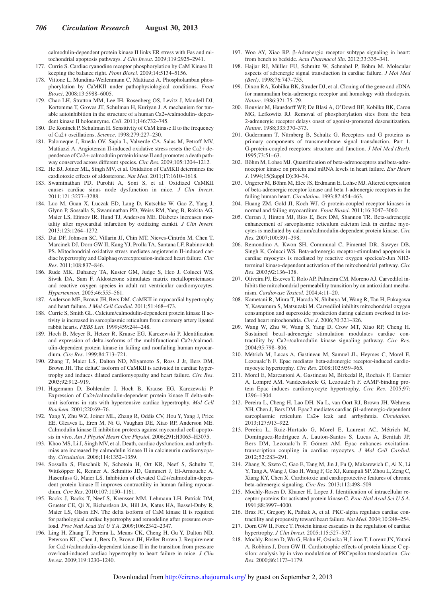calmodulin-dependent protein kinase II links ER stress with Fas and mitochondrial apoptosis pathways. *J Clin Invest*. 2009;119:2925–2941.

- 177. Currie S. Cardiac ryanodine receptor phosphorylation by CaM Kinase II: keeping the balance right. *Front Biosci*. 2009;14:5134–5156.
- 178. Vittone L, Mundina-Weilenmann C, Mattiazzi A. Phospholamban phosphorylation by CaMKII under pathophysiological conditions. *Front Biosci*. 2008;13:5988–6005.
- 179. Chao LH, Stratton MM, Lee IH, Rosenberg OS, Levitz J, Mandell DJ, Kortemme T, Groves JT, Schulman H, Kuriyan J. A mechanism for tunable autoinhibition in the structure of a human Ca2+/calmodulin- dependent kinase II holoenzyme. *Cell*. 2011;146:732–745.
- 180. De Koninck P, Schulman H. Sensitivity of CaM kinase II to the frequency of Ca2+ oscillations. *Science*. 1998;279:227–230.
- 181. Palomeque J, Rueda OV, Sapia L, Valverde CA, Salas M, Petroff MV, Mattiazzi A. Angiotensin II-induced oxidative stress resets the Ca2+ dependence of Ca2+-calmodulin protein kinase II and promotes a death pathway conserved across different species. *Circ Res*. 2009;105:1204–1212.
- 182. He BJ, Joiner ML, Singh MV, et al. Oxidation of CaMKII determines the cardiotoxic effects of aldosterone. *Nat Med*. 2011;17:1610–1618.
- 183. Swaminathan PD, Purohit A, Soni S, et al. Oxidized CaMKII causes cardiac sinus node dysfunction in mice. *J Clin Invest*. 2011;121:3277–3288.
- 184. Luo M, Guan X, Luczak ED, Lang D, Kutschke W, Gao Z, Yang J, Glynn P, Sossalla S, Swaminathan PD, Weiss RM, Yang B, Rokita AG, Maier LS, Efimov IR, Hund TJ, Anderson ME. Diabetes increases mortality after myocardial infarction by oxidizing camkii. *J Clin Invest*. 2013;123:1264–1272.
- 185. Dai DF, Johnson SC, Villarin JJ, Chin MT, Nieves-Cintrón M, Chen T, Marcinek DJ, Dorn GW II, Kang YJ, Prolla TA, Santana LF, Rabinovitch PS. Mitochondrial oxidative stress mediates angiotensin II-induced cardiac hypertrophy and Galphaq overexpression-induced heart failure. *Circ Res*. 2011;108:837–846.
- 186. Rude MK, Duhaney TA, Kuster GM, Judge S, Heo J, Colucci WS, Siwik DA, Sam F. Aldosterone stimulates matrix metalloproteinases and reactive oxygen species in adult rat ventricular cardiomyocytes. *Hypertension*. 2005;46:555–561.
- 187. Anderson ME, Brown JH, Bers DM. CaMKII in myocardial hypertrophy and heart failure. *J Mol Cell Cardiol*. 2011;51:468–473.
- 188. Currie S, Smith GL. Calcium/calmodulin-dependent protein kinase II activity is increased in sarcoplasmic reticulum from coronary artery ligated rabbit hearts. *FEBS Lett*. 1999;459:244–248.
- 189. Hoch B, Meyer R, Hetzer R, Krause EG, Karczewski P. Identification and expression of delta-isoforms of the multifunctional Ca2+/calmodulin-dependent protein kinase in failing and nonfailing human myocardium. *Circ Res*. 1999;84:713–721.
- 190. Zhang T, Maier LS, Dalton ND, Miyamoto S, Ross J Jr, Bers DM, Brown JH. The deltaC isoform of CaMKII is activated in cardiac hypertrophy and induces dilated cardiomyopathy and heart failure. *Circ Res*. 2003;92:912–919.
- 191. Hagemann D, Bohlender J, Hoch B, Krause EG, Karczewski P. Expression of Ca2+/calmodulin-dependent protein kinase II delta-subunit isoforms in rats with hypertensive cardiac hypertrophy. *Mol Cell Biochem*. 2001;220:69–76.
- 192. Yang Y, Zhu WZ, Joiner ML, Zhang R, Oddis CV, Hou Y, Yang J, Price EE, Gleaves L, Eren M, Ni G, Vaughan DE, Xiao RP, Anderson ME. Calmodulin kinase II inhibition protects against myocardial cell apoptosis in vivo. *Am J Physiol Heart Circ Physiol*. 2006;291:H3065–H3075.
- 193. Khoo MS, Li J, Singh MV, et al. Death, cardiac dysfunction, and arrhythmias are increased by calmodulin kinase II in calcineurin cardiomyopathy. *Circulation*. 2006;114:1352–1359.
- 194. Sossalla S, Fluschnik N, Schotola H, Ort KR, Neef S, Schulte T, Wittköpper K, Renner A, Schmitto JD, Gummert J, El-Armouche A, Hasenfuss G, Maier LS. Inhibition of elevated Ca2+/calmodulin-dependent protein kinase II improves contractility in human failing myocardium. *Circ Res*. 2010;107:1150–1161.
- 195. Backs J, Backs T, Neef S, Kreusser MM, Lehmann LH, Patrick DM, Grueter CE, Qi X, Richardson JA, Hill JA, Katus HA, Bassel-Duby R, Maier LS, Olson EN. The delta isoform of CaM kinase II is required for pathological cardiac hypertrophy and remodeling after pressure overload. *Proc Natl Acad Sci U S A*. 2009;106:2342–2347.
- 196. Ling H, Zhang T, Pereira L, Means CK, Cheng H, Gu Y, Dalton ND, Peterson KL, Chen J, Bers D, Brown JH, Heller Brown J. Requirement for Ca2+/calmodulin-dependent kinase II in the transition from pressure overload-induced cardiac hypertrophy to heart failure in mice. *J Clin Invest*. 2009;119:1230–1240.
- 197. Woo AY, Xiao RP. β-Adrenergic receptor subtype signaling in heart: from bench to bedside. *Acta Pharmacol Sin*. 2012;33:335–341.
- 198. Hajjar RJ, Müller FU, Schmitz W, Schnabel P, Böhm M. Molecular aspects of adrenergic signal transduction in cardiac failure. *J Mol Med (Berl)*. 1998;76:747–755.
- 199. Dixon RA, Kobilka BK, Strader DJ, et al. Cloning of the gene and cDNA for mammalian beta-adrenergic receptor and homology with rhodopsin. *Nature*. 1986;321:75–79.
- 200. Bouvier M, Hausdorff WP, De Blasi A, O'Dowd BF, Kobilka BK, Caron MG, Lefkowitz RJ. Removal of phosphorylation sites from the beta 2-adrenergic receptor delays onset of agonist-promoted desensitization. *Nature*. 1988;333:370–373.
- 201. Gudermann T, Nürnberg B, Schultz G. Receptors and G proteins as primary components of transmembrane signal transduction. Part 1. G-protein-coupled receptors: structure and function. *J Mol Med (Berl)*. 1995;73:51–63.
- 202. Böhm M, Lohse MJ. Quantification of beta-adrenoceptors and beta-adrenoceptor kinase on protein and mRNA levels in heart failure. *Eur Heart J*. 1994;15(Suppl D):30–34.
- 203. Ungerer M, Böhm M, Elce JS, Erdmann E, Lohse MJ. Altered expression of beta-adrenergic receptor kinase and beta 1-adrenergic receptors in the failing human heart. *Circulation*. 1993;87:454–463.
- 204. Huang ZM, Gold JI, Koch WJ. G protein-coupled receptor kinases in normal and failing myocardium. *Front Biosci*. 2011;16:3047–3060.
- 205. Curran J, Hinton MJ, Ríos E, Bers DM, Shannon TR. Beta-adrenergic enhancement of sarcoplasmic reticulum calcium leak in cardiac myocytes is mediated by calcium/calmodulin-dependent protein kinase. *Circ Res*. 2007;100:391–398.
- 206. Remondino A, Kwon SH, Communal C, Pimentel DR, Sawyer DB, Singh K, Colucci WS. Beta-adrenergic receptor-stimulated apoptosis in cardiac myocytes is mediated by reactive oxygen species/c-Jun NH2 terminal kinase-dependent activation of the mitochondrial pathway. *Circ Res*. 2003;92:136–138.
- 207. Oliveira PJ, Esteves T, Rolo AP, Palmeira CM, Moreno AJ. Carvedilol inhibits the mitochondrial permeability transition by an antioxidant mechanism. *Cardiovasc Toxicol*. 2004;4:11–20.
- 208. Kametani R, Miura T, Harada N, Shibuya M, Wang R, Tan H, Fukagawa Y, Kawamura S, Matsuzaki M. Carvedilol inhibits mitochondrial oxygen consumption and superoxide production during calcium overload in isolated heart mitochondria. *Circ J*. 2006;70:321–326.
- 209. Wang W, Zhu W, Wang S, Yang D, Crow MT, Xiao RP, Cheng H. Sustained beta1-adrenergic stimulation modulates cardiac contractility by Ca2+/calmodulin kinase signaling pathway. *Circ Res*. 2004;95:798–806.
- 210. Métrich M, Lucas A, Gastineau M, Samuel JL, Heymes C, Morel E, Lezoualc'h F. Epac mediates beta-adrenergic receptor-induced cardiomyocyte hypertrophy. *Circ Res*. 2008;102:959–965.
- 211. Morel E, Marcantoni A, Gastineau M, Birkedal R, Rochais F, Garnier A, Lompré AM, Vandecasteele G, Lezoualc'h F. cAMP-binding protein Epac induces cardiomyocyte hypertrophy. *Circ Res*. 2005;97: 1296–1304.
- 212. Pereira L, Cheng H, Lao DH, Na L, van Oort RJ, Brown JH, Wehrens XH, Chen J, Bers DM. Epac2 mediates cardiac β1-adrenergic-dependent sarcoplasmic reticulum Ca2+ leak and arrhythmia. *Circulation*. 2013;127:913–922.
- 213. Pereira L, Ruiz-Hurtado G, Morel E, Laurent AC, Métrich M, Domínguez-Rodríguez A, Lauton-Santos S, Lucas A, Benitah JP, Bers DM, Lezoualc'h F, Gómez AM. Epac enhances excitationtranscription coupling in cardiac myocytes. *J Mol Cell Cardiol*. 2012;52:283–291.
- 214. Zhang X, Szeto C, Gao E, Tang M, Jin J, Fu Q, Makarewich C, Ai X, Li Y, Tang A, Wang J, Gao H, Wang F, Ge XJ, Kunapuli SP, Zhou L, Zeng C, Xiang KY, Chen X. Cardiotoxic and cardioprotective features of chronic beta-adrenergic signaling. *Circ Res*. 2013;112:498–509
- 215. Mochly-Rosen D, Khaner H, Lopez J. Identification of intracellular receptor proteins for activated protein kinase C. *Proc Natl Acad Sci U S A*. 1991;88:3997–4000.
- 216. Braz JC, Gregory K, Pathak A, et al. PKC-alpha regulates cardiac contractility and propensity toward heart failure. *Nat Med*. 2004;10:248–254.
- 217. Dorn GW II, Force T. Protein kinase cascades in the regulation of cardiac hypertrophy. *J Clin Invest*. 2005;115:527–537.
- 218. Mochly-Rosen D, Wu G, Hahn H, Osinska H, Liron T, Lorenz JN, Yatani A, Robbins J, Dorn GW II. Cardiotrophic effects of protein kinase C epsilon: analysis by in vivo modulation of PKCepsilon translocation. *Circ Res*. 2000;86:1173–1179.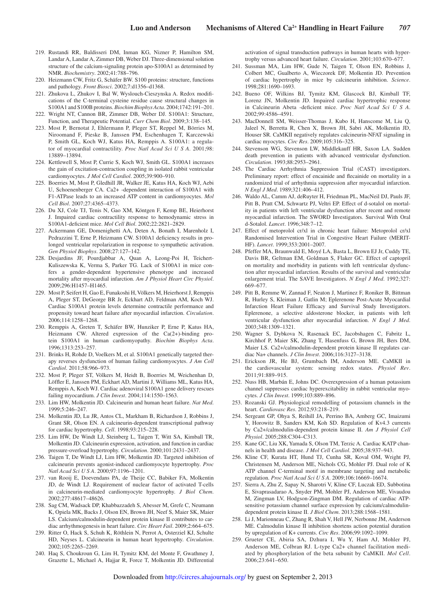- 219. Rustandi RR, Baldisseri DM, Inman KG, Nizner P, Hamilton SM, Landar A, Landar A, Zimmer DB, Weber DJ. Three-dimensional solution structure of the calcium-signaling protein apo-S100A1 as determined by NMR. *Biochemistry*. 2002;41:788–796.
- 220. Heizmann CW, Fritz G, Schäfer BW. S100 proteins: structure, functions and pathology. *Front Biosci*. 2002;7:d1356–d1368.
- 221. Zhukova L, Zhukov I, Bal W, Wyslouch-Cieszynska A. Redox modifications of the C-terminal cysteine residue cause structural changes in S100A1 and S100B proteins. *Biochim Biophys Acta*. 2004;1742:191–201.
- 222. Wright NT, Cannon BR, Zimmer DB, Weber DJ. S100A1: Structure, Function, and Therapeutic Potential. *Curr Chem Biol*. 2009;3:138–145.
- 223. Most P, Bernotat J, Ehlermann P, Pleger ST, Reppel M, Börries M, Niroomand F, Pieske B, Janssen PM, Eschenhagen T, Karczewski P, Smith GL, Koch WJ, Katus HA, Remppis A. S100A1: a regulator of myocardial contractility. *Proc Natl Acad Sci U S A*. 2001;98: 13889–13894.
- 224. Kettlewell S, Most P, Currie S, Koch WJ, Smith GL. S100A1 increases the gain of excitation-contraction coupling in isolated rabbit ventricular cardiomyocytes. *J Mol Cell Cardiol*. 2005;39:900–910.
- 225. Boerries M, Most P, Gledhill JR, Walker JE, Katus HA, Koch WJ, Aebi U, Schoenenberger CA. Ca2+ -dependent interaction of S100A1 with F1-ATPase leads to an increased ATP content in cardiomyocytes. *Mol Cell Biol*. 2007;27:4365–4373.
- 226. Du XJ, Cole TJ, Tenis N, Gao XM, Köntgen F, Kemp BE, Heierhorst J. Impaired cardiac contractility response to hemodynamic stress in S100A1-deficient mice. *Mol Cell Biol*. 2002;22:2821–2829.
- 227. Ackermann GE, Domenighetti AA, Deten A, Bonath I, Marenholz I, Pedrazzini T, Erne P, Heizmann CW. S100A1 deficiency results in prolonged ventricular repolarization in response to sympathetic activation. *Gen Physiol Biophys*. 2008;27:127–142.
- 228. Desjardins JF, Pourdjabbar A, Quan A, Leong-Poi H, Teichert-Kuliszewska K, Verma S, Parker TG. Lack of S100A1 in mice confers a gender-dependent hypertensive phenotype and increased mortality after myocardial infarction. *Am J Physiol Heart Circ Physiol*. 2009;296:H1457–H1465.
- 229. Most P, Seifert H, Gao E, Funakoshi H, Völkers M, Heierhorst J, Remppis A, Pleger ST, DeGeorge BR Jr, Eckhart AD, Feldman AM, Koch WJ. Cardiac S100A1 protein levels determine contractile performance and propensity toward heart failure after myocardial infarction. *Circulation*. 2006;114:1258–1268.
- 230. Remppis A, Greten T, Schäfer BW, Hunziker P, Erne P, Katus HA, Heizmann CW. Altered expression of the Ca(2+)-binding protein S100A1 in human cardiomyopathy. *Biochim Biophys Acta*. 1996;1313:253–257.
- 231. Brinks H, Rohde D, Voelkers M, et al. S100A1 genetically targeted therapy reverses dysfunction of human failing cardiomyocytes. *J Am Coll Cardiol*. 2011;58:966–973.
- 232. Most P, Pleger ST, Völkers M, Heidt B, Boerries M, Weichenhan D, Löffler E, Janssen PM, Eckhart AD, Martini J, Williams ML, Katus HA, Remppis A, Koch WJ. Cardiac adenoviral S100A1 gene delivery rescues failing myocardium. *J Clin Invest*. 2004;114:1550–1563.
- 233. Lim HW, Molkentin JD. Calcineurin and human heart failure. *Nat Med*. 1999;5:246–247.
- 234. Molkentin JD, Lu JR, Antos CL, Markham B, Richardson J, Robbins J, Grant SR, Olson EN. A calcineurin-dependent transcriptional pathway for cardiac hypertrophy. *Cell*. 1998;93:215–228.
- 235. Lim HW, De Windt LJ, Steinberg L, Taigen T, Witt SA, Kimball TR, Molkentin JD. Calcineurin expression, activation, and function in cardiac pressure-overload hypertrophy. *Circulation*. 2000;101:2431–2437.
- 236. Taigen T, De Windt LJ, Lim HW, Molkentin JD. Targeted inhibition of calcineurin prevents agonist-induced cardiomyocyte hypertrophy. *Proc Natl Acad Sci U S A*. 2000;97:1196–1201.
- 237. van Rooij E, Doevendans PA, de Theije CC, Babiker FA, Molkentin JD, de Windt LJ. Requirement of nuclear factor of activated T-cells in calcineurin-mediated cardiomyocyte hypertrophy. *J Biol Chem*. 2002;277:48617–48626.
- 238. Sag CM, Wadsack DP, Khabbazzadeh S, Abesser M, Grefe C, Neumann K, Opiela MK, Backs J, Olson EN, Brown JH, Neef S, Maier SK, Maier LS. Calcium/calmodulin-dependent protein kinase II contributes to cardiac arrhythmogenesis in heart failure. *Circ Heart Fail*. 2009;2:664–675.
- 239. Ritter O, Hack S, Schuh K, Röthlein N, Perrot A, Osterziel KJ, Schulte HD, Neyses L. Calcineurin in human heart hypertrophy. *Circulation*. 2002;105:2265–2269.
- 240. Haq S, Choukroun G, Lim H, Tymitz KM, del Monte F, Gwathmey J, Grazette L, Michael A, Hajjar R, Force T, Molkentin JD. Differential

activation of signal transduction pathways in human hearts with hypertrophy versus advanced heart failure. *Circulation*. 2001;103:670–677.

- 241. Sussman MA, Lim HW, Gude N, Taigen T, Olson EN, Robbins J, Colbert MC, Gualberto A, Wieczorek DF, Molkentin JD. Prevention of cardiac hypertrophy in mice by calcineurin inhibition. *Science*. 1998;281:1690–1693.
- 242. Bueno OF, Wilkins BJ, Tymitz KM, Glascock BJ, Kimball TF, Lorenz JN, Molkentin JD. Impaired cardiac hypertrophic response in Calcineurin Abeta -deficient mice. *Proc Natl Acad Sci U S A*. 2002;99:4586–4591.
- 243. MacDonnell SM, Weisser-Thomas J, Kubo H, Hanscome M, Liu Q, Jaleel N, Berretta R, Chen X, Brown JH, Sabri AK, Molkentin JD, Houser SR. CaMKII negatively regulates calcineurin-NFAT signaling in cardiac myocytes. *Circ Res*. 2009;105:316–325.
- 244. Stevenson WG, Stevenson LW, Middlekauff HR, Saxon LA. Sudden death prevention in patients with advanced ventricular dysfunction. *Circulation*. 1993;88:2953–2961.
- 245. The Cardiac Arrhythmia Suppression Trial (CAST) investigators. Preliminary report: effect of encainide and flecainide on mortality in a randomized trial of arrhythmia suppression after myocardial infarction. *N Engl J Med*. 1989;321:406–412.
- 246. Waldo AL, Camm AJ, deRuyter H, Friedman PL, MacNeil DJ, Pauls JF, Pitt B, Pratt CM, Schwartz PJ, Veltri EP. Effect of d-sotalol on mortality in patients with left ventricular dysfunction after recent and remote myocardial infarction. The SWORD Investigators. Survival With Oral d-Sotalol. *Lancet*. 1996;348:7–12.
- 247. Effect of metoprolol cr/xl in chronic heart failure: Metoprolol cr/xl Randomised Intervention Trial in Congestive Heart Failure (MERIT-HF). *Lancet*. 1999;353:2001–2007.
- 248. Pfeffer MA, Braunwald E, Moyé LA, Basta L, Brown EJ Jr, Cuddy TE, Davis BR, Geltman EM, Goldman S, Flaker GC. Effect of captopril on mortality and morbidity in patients with left ventricular dysfunction after myocardial infarction. Results of the survival and ventricular enlargement trial. The SAVE Investigators. *N Engl J Med*. 1992;327: 669–677.
- 249. Pitt B, Remme W, Zannad F, Neaton J, Martinez F, Roniker B, Bittman R, Hurley S, Kleiman J, Gatlin M; Eplerenone Post-Acute Myocardial Infarction Heart Failure Efficacy and Survival Study Investigators. Eplerenone, a selective aldosterone blocker, in patients with left ventricular dysfunction after myocardial infarction. *N Engl J Med*. 2003;348:1309–1321.
- 250. Wagner S, Dybkova N, Rasenack EC, Jacobshagen C, Fabritz L, Kirchhof P, Maier SK, Zhang T, Hasenfuss G, Brown JH, Bers DM, Maier LS. Ca2+/calmodulin-dependent protein kinase II regulates cardiac Na+ channels. *J Clin Invest*. 2006;116:3127–3138.
- 251. Erickson JR, He BJ, Grumbach IM, Anderson ME. CaMKII in the cardiovascular system: sensing redox states. *Physiol Rev*. 2011;91:889–915.
- 252. Nuss HB, Marbán E, Johns DC. Overexpression of a human potassium channel suppresses cardiac hyperexcitability in rabbit ventricular myocytes. *J Clin Invest*. 1999;103:889–896.
- 253. Rozanski GJ. Physiological remodelling of potassium channels in the heart. *Cardiovasc Res*. 2012;93:218–219.
- 254. Sergeant GP, Ohya S, Reihill JA, Perrino BA, Amberg GC, Imaizumi Y, Horowitz B, Sanders KM, Koh SD. Regulation of Kv4.3 currents by Ca2+/calmodulin-dependent protein kinase II. *Am J Physiol Cell Physiol*. 2005;288:C304–C313.
- 255. Kane GC, Liu XK, Yamada S, Olson TM, Terzic A. Cardiac KATP channels in health and disease. *J Mol Cell Cardiol*. 2005;38:937–943.
- 256. Kline CF, Kurata HT, Hund TJ, Cunha SR, Koval OM, Wright PJ, Christensen M, Anderson ME, Nichols CG, Mohler PJ. Dual role of K ATP channel C-terminal motif in membrane targeting and metabolic regulation. *Proc Natl Acad Sci U S A*. 2009;106:16669–16674.
- 257. Sierra A, Zhu Z, Sapay N, Sharotri V, Kline CF, Luczak ED, Subbotina E, Sivaprasadarao A, Snyder PM, Mohler PJ, Anderson ME, Vivaudou M, Zingman LV, Hodgson-Zingman DM. Regulation of cardiac ATPsensitive potassium channel surface expression by calcium/calmodulindependent protein kinase II. *J Biol Chem*. 2013;288:1568–1581.
- 258. Li J, Marionneau C, Zhang R, Shah V, Hell JW, Nerbonne JM, Anderson ME. Calmodulin kinase II inhibition shortens action potential duration by upregulation of K+ currents. *Circ Res*. 2006;99:1092–1099.
- 259. Grueter CE, Abiria SA, Dzhura I, Wu Y, Ham AJ, Mohler PJ, Anderson ME, Colbran RJ. L-type Ca2+ channel facilitation mediated by phosphorylation of the beta subunit by CaMKII. *Mol Cell*. 2006;23:641–650.